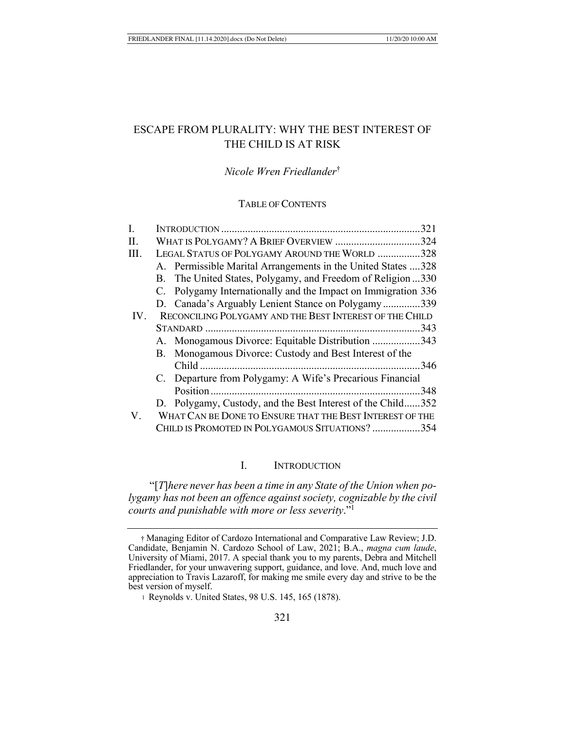# ESCAPE FROM PLURALITY: WHY THE BEST INTEREST OF THE CHILD IS AT RISK

# *Nicole Wren Friedlander*†

## TABLE OF CONTENTS

| L.          |                                                          |                                                               | .321 |
|-------------|----------------------------------------------------------|---------------------------------------------------------------|------|
| Π.          |                                                          | WHAT IS POLYGAMY? A BRIEF OVERVIEW 324                        |      |
| III.        | LEGAL STATUS OF POLYGAMY AROUND THE WORLD 328            |                                                               |      |
|             |                                                          | A. Permissible Marital Arrangements in the United States 328  |      |
|             |                                                          | B. The United States, Polygamy, and Freedom of Religion 330   |      |
|             |                                                          | C. Polygamy Internationally and the Impact on Immigration 336 |      |
|             |                                                          | D. Canada's Arguably Lenient Stance on Polygamy339            |      |
| IV.         |                                                          | RECONCILING POLYGAMY AND THE BEST INTEREST OF THE CHILD       |      |
|             |                                                          |                                                               |      |
|             |                                                          | A. Monogamous Divorce: Equitable Distribution 343             |      |
|             |                                                          | B. Monogamous Divorce: Custody and Best Interest of the       |      |
|             |                                                          |                                                               | .346 |
|             |                                                          | C. Departure from Polygamy: A Wife's Precarious Financial     |      |
|             |                                                          |                                                               |      |
|             |                                                          | D. Polygamy, Custody, and the Best Interest of the Child352   |      |
| $V_{\cdot}$ | WHAT CAN BE DONE TO ENSURE THAT THE BEST INTEREST OF THE |                                                               |      |
|             |                                                          | CHILD IS PROMOTED IN POLYGAMOUS SITUATIONS? 354               |      |

## I. INTRODUCTION

"[*T*]*here never has been a time in any State of the Union when polygamy has not been an offence against society, cognizable by the civil courts and punishable with more or less severity*."1

<sup>†</sup> Managing Editor of Cardozo International and Comparative Law Review; J.D. Candidate, Benjamin N. Cardozo School of Law, 2021; B.A., *magna cum laude*, University of Miami, 2017. A special thank you to my parents, Debra and Mitchell Friedlander, for your unwavering support, guidance, and love. And, much love and appreciation to Travis Lazaroff, for making me smile every day and strive to be the best version of myself.

<sup>1</sup> Reynolds v. United States, 98 U.S. 145, 165 (1878).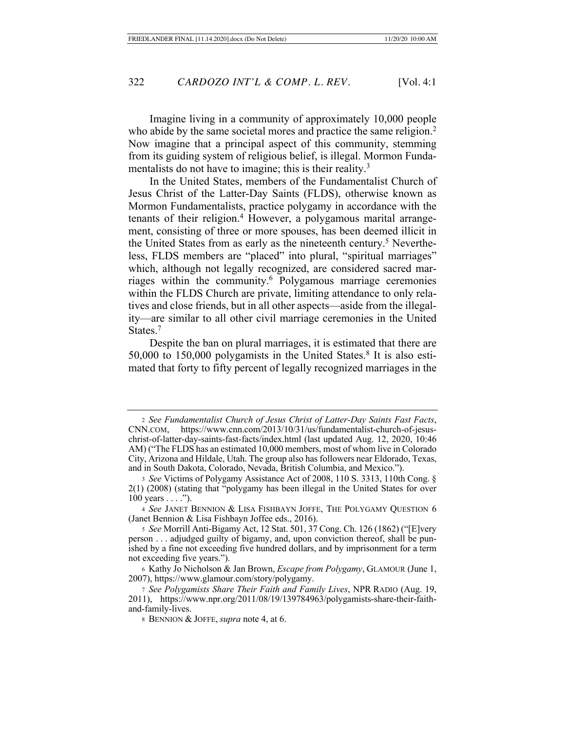Imagine living in a community of approximately 10,000 people who abide by the same societal mores and practice the same religion.<sup>2</sup> Now imagine that a principal aspect of this community, stemming from its guiding system of religious belief, is illegal. Mormon Fundamentalists do not have to imagine; this is their reality.<sup>3</sup>

In the United States, members of the Fundamentalist Church of Jesus Christ of the Latter-Day Saints (FLDS), otherwise known as Mormon Fundamentalists, practice polygamy in accordance with the tenants of their religion.<sup>4</sup> However, a polygamous marital arrangement, consisting of three or more spouses, has been deemed illicit in the United States from as early as the nineteenth century.<sup>5</sup> Nevertheless, FLDS members are "placed" into plural, "spiritual marriages" which, although not legally recognized, are considered sacred marriages within the community.6 Polygamous marriage ceremonies within the FLDS Church are private, limiting attendance to only relatives and close friends, but in all other aspects—aside from the illegality—are similar to all other civil marriage ceremonies in the United States.<sup>7</sup>

Despite the ban on plural marriages, it is estimated that there are 50,000 to 150,000 polygamists in the United States.8 It is also estimated that forty to fifty percent of legally recognized marriages in the

<sup>4</sup> *See* JANET BENNION & LISA FISHBAYN JOFFE, THE POLYGAMY QUESTION 6 (Janet Bennion & Lisa Fishbayn Joffee eds., 2016).

<sup>2</sup> *See Fundamentalist Church of Jesus Christ of Latter-Day Saints Fast Facts*, CNN.COM, https://www.cnn.com/2013/10/31/us/fundamentalist-church-of-jesuschrist-of-latter-day-saints-fast-facts/index.html (last updated Aug. 12, 2020, 10:46 AM) ("The FLDS has an estimated 10,000 members, most of whom live in Colorado City, Arizona and Hildale, Utah. The group also has followers near Eldorado, Texas, and in South Dakota, Colorado, Nevada, British Columbia, and Mexico.").

<sup>3</sup> *See* Victims of Polygamy Assistance Act of 2008, 110 S. 3313, 110th Cong. § 2(1) (2008) (stating that "polygamy has been illegal in the United States for over 100 years . . . .").

<sup>5</sup> *See* Morrill Anti-Bigamy Act, 12 Stat. 501, 37 Cong. Ch. 126 (1862) ("[E]very person . . . adjudged guilty of bigamy, and, upon conviction thereof, shall be punished by a fine not exceeding five hundred dollars, and by imprisonment for a term not exceeding five years.").

<sup>6</sup> Kathy Jo Nicholson & Jan Brown, *Escape from Polygamy*, GLAMOUR (June 1, 2007), https://www.glamour.com/story/polygamy.

<sup>7</sup> *See Polygamists Share Their Faith and Family Lives*, NPR RADIO (Aug. 19, 2011), https://www.npr.org/2011/08/19/139784963/polygamists-share-their-faithand-family-lives.

<sup>8</sup> BENNION & JOFFE, *supra* note 4, at 6.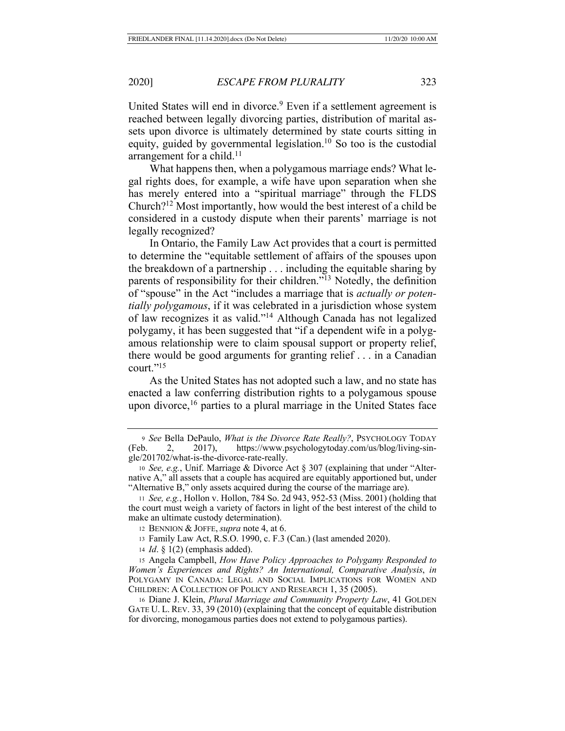United States will end in divorce.<sup>9</sup> Even if a settlement agreement is reached between legally divorcing parties, distribution of marital assets upon divorce is ultimately determined by state courts sitting in equity, guided by governmental legislation.<sup>10</sup> So too is the custodial arrangement for a child.<sup>11</sup>

What happens then, when a polygamous marriage ends? What legal rights does, for example, a wife have upon separation when she has merely entered into a "spiritual marriage" through the FLDS Church?12 Most importantly, how would the best interest of a child be considered in a custody dispute when their parents' marriage is not legally recognized?

In Ontario, the Family Law Act provides that a court is permitted to determine the "equitable settlement of affairs of the spouses upon the breakdown of a partnership . . . including the equitable sharing by parents of responsibility for their children."13 Notedly, the definition of "spouse" in the Act "includes a marriage that is *actually or potentially polygamous*, if it was celebrated in a jurisdiction whose system of law recognizes it as valid."14 Although Canada has not legalized polygamy, it has been suggested that "if a dependent wife in a polygamous relationship were to claim spousal support or property relief, there would be good arguments for granting relief . . . in a Canadian court."15

As the United States has not adopted such a law, and no state has enacted a law conferring distribution rights to a polygamous spouse upon divorce,<sup>16</sup> parties to a plural marriage in the United States face

<sup>14</sup> *Id*. § 1(2) (emphasis added).

<sup>15</sup> Angela Campbell, *How Have Policy Approaches to Polygamy Responded to Women's Experiences and Rights? An International, Comparative Analysis*, *in*  POLYGAMY IN CANADA: LEGAL AND SOCIAL IMPLICATIONS FOR WOMEN AND CHILDREN: A COLLECTION OF POLICY AND RESEARCH 1, 35 (2005).

<sup>16</sup> Diane J. Klein, *Plural Marriage and Community Property Law*, 41 GOLDEN GATE U. L. REV. 33, 39 (2010) (explaining that the concept of equitable distribution for divorcing, monogamous parties does not extend to polygamous parties).

<sup>9</sup> *See* Bella DePaulo, *What is the Divorce Rate Really?*, PSYCHOLOGY TODAY (Feb. 2, 2017), https://www.psychologytoday.com/us/blog/living-single/201702/what-is-the-divorce-rate-really.

<sup>10</sup> *See, e.g.*, Unif. Marriage & Divorce Act § 307 (explaining that under "Alternative A," all assets that a couple has acquired are equitably apportioned but, under "Alternative B," only assets acquired during the course of the marriage are).

<sup>11</sup> *See, e.g.*, Hollon v. Hollon, 784 So. 2d 943, 952-53 (Miss. 2001) (holding that the court must weigh a variety of factors in light of the best interest of the child to make an ultimate custody determination).

<sup>12</sup> BENNION & JOFFE, *supra* note 4, at 6.

<sup>13</sup> Family Law Act, R.S.O. 1990, c. F.3 (Can.) (last amended 2020).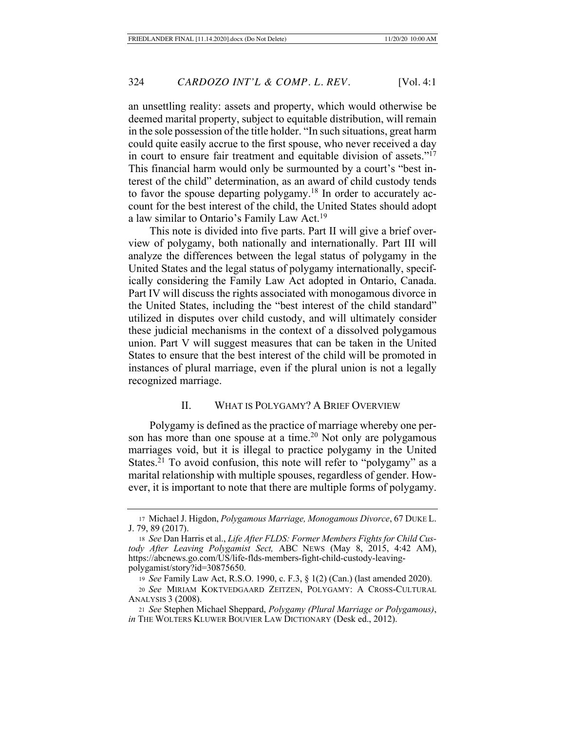an unsettling reality: assets and property, which would otherwise be deemed marital property, subject to equitable distribution, will remain in the sole possession of the title holder. "In such situations, great harm could quite easily accrue to the first spouse, who never received a day in court to ensure fair treatment and equitable division of assets."17 This financial harm would only be surmounted by a court's "best interest of the child" determination, as an award of child custody tends to favor the spouse departing polygamy.<sup>18</sup> In order to accurately account for the best interest of the child, the United States should adopt a law similar to Ontario's Family Law Act.<sup>19</sup>

This note is divided into five parts. Part II will give a brief overview of polygamy, both nationally and internationally. Part III will analyze the differences between the legal status of polygamy in the United States and the legal status of polygamy internationally, specifically considering the Family Law Act adopted in Ontario, Canada. Part IV will discuss the rights associated with monogamous divorce in the United States, including the "best interest of the child standard" utilized in disputes over child custody, and will ultimately consider these judicial mechanisms in the context of a dissolved polygamous union. Part V will suggest measures that can be taken in the United States to ensure that the best interest of the child will be promoted in instances of plural marriage, even if the plural union is not a legally recognized marriage.

#### II. WHAT IS POLYGAMY? A BRIEF OVERVIEW

Polygamy is defined as the practice of marriage whereby one person has more than one spouse at a time.<sup>20</sup> Not only are polygamous marriages void, but it is illegal to practice polygamy in the United States. $^{21}$  To avoid confusion, this note will refer to "polygamy" as a marital relationship with multiple spouses, regardless of gender. However, it is important to note that there are multiple forms of polygamy.

<sup>21</sup> *See* Stephen Michael Sheppard, *Polygamy (Plural Marriage or Polygamous)*, *in* THE WOLTERS KLUWER BOUVIER LAW DICTIONARY (Desk ed., 2012).

<sup>17</sup> Michael J. Higdon, *Polygamous Marriage, Monogamous Divorce*, 67 DUKE L. J. 79, 89 (2017).

<sup>18</sup> *See* Dan Harris et al., *Life After FLDS: Former Members Fights for Child Custody After Leaving Polygamist Sect,* ABC NEWS (May 8, 2015, 4:42 AM), https://abcnews.go.com/US/life-flds-members-fight-child-custody-leavingpolygamist/story?id=30875650.

<sup>19</sup> *See* Family Law Act, R.S.O. 1990, c. F.3, § 1(2) (Can.) (last amended 2020).

<sup>20</sup> *See* MIRIAM KOKTVEDGAARD ZEITZEN, POLYGAMY: A CROSS-CULTURAL ANALYSIS 3 (2008).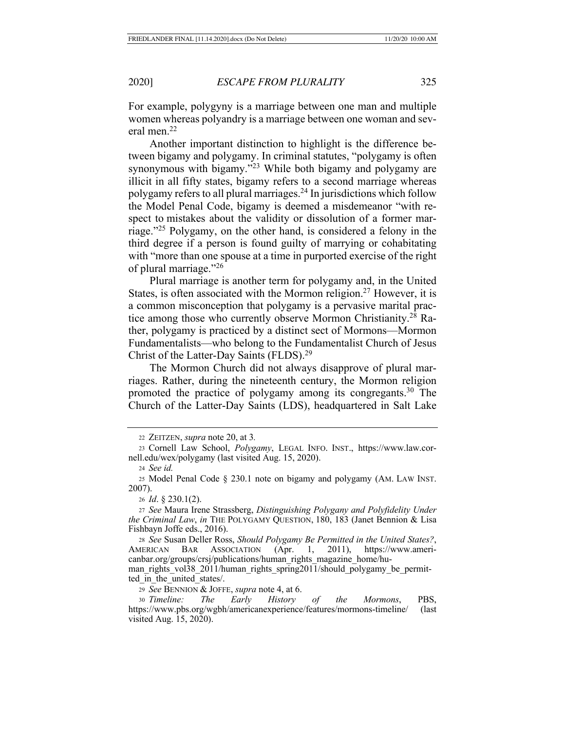For example, polygyny is a marriage between one man and multiple women whereas polyandry is a marriage between one woman and several men.22

Another important distinction to highlight is the difference between bigamy and polygamy. In criminal statutes, "polygamy is often synonymous with bigamy."23 While both bigamy and polygamy are illicit in all fifty states, bigamy refers to a second marriage whereas polygamy refers to all plural marriages.24 In jurisdictions which follow the Model Penal Code, bigamy is deemed a misdemeanor "with respect to mistakes about the validity or dissolution of a former marriage."25 Polygamy, on the other hand, is considered a felony in the third degree if a person is found guilty of marrying or cohabitating with "more than one spouse at a time in purported exercise of the right of plural marriage."26

Plural marriage is another term for polygamy and, in the United States, is often associated with the Mormon religion.<sup>27</sup> However, it is a common misconception that polygamy is a pervasive marital practice among those who currently observe Mormon Christianity.28 Rather, polygamy is practiced by a distinct sect of Mormons—Mormon Fundamentalists—who belong to the Fundamentalist Church of Jesus Christ of the Latter-Day Saints (FLDS).29

The Mormon Church did not always disapprove of plural marriages. Rather, during the nineteenth century, the Mormon religion promoted the practice of polygamy among its congregants.30 The Church of the Latter-Day Saints (LDS), headquartered in Salt Lake

<sup>26</sup> *Id*. § 230.1(2).

<sup>27</sup> *See* Maura Irene Strassberg, *Distinguishing Polygany and Polyfidelity Under the Criminal Law*, *in* THE POLYGAMY QUESTION, 180, 183 (Janet Bennion & Lisa Fishbayn Joffe eds., 2016).

<sup>28</sup> *See* Susan Deller Ross, *Should Polygamy Be Permitted in the United States?*, AMERICAN BAR ASSOCIATION (Apr. 1, 2011), https://www.americanbar.org/groups/crsj/publications/human\_rights\_magazine\_home/hu-

man\_rights\_vol38\_2011/human\_rights\_spring2011/should\_polygamy\_be\_permitted in the united states.

<sup>29</sup> *See* BENNION & JOFFE, *supra* note 4, at 6.

<sup>30</sup> *Timeline: The Early History of the Mormons*, PBS, https://www.pbs.org/wgbh/americanexperience/features/mormons-timeline/ (last visited Aug. 15, 2020).

<sup>22</sup> ZEITZEN, *supra* note 20, at 3*.*

<sup>23</sup> Cornell Law School, *Polygamy*, LEGAL INFO. INST., https://www.law.cornell.edu/wex/polygamy (last visited Aug. 15, 2020).

<sup>24</sup> *See id.*

<sup>25</sup> Model Penal Code § 230.1 note on bigamy and polygamy (AM. LAW INST. 2007).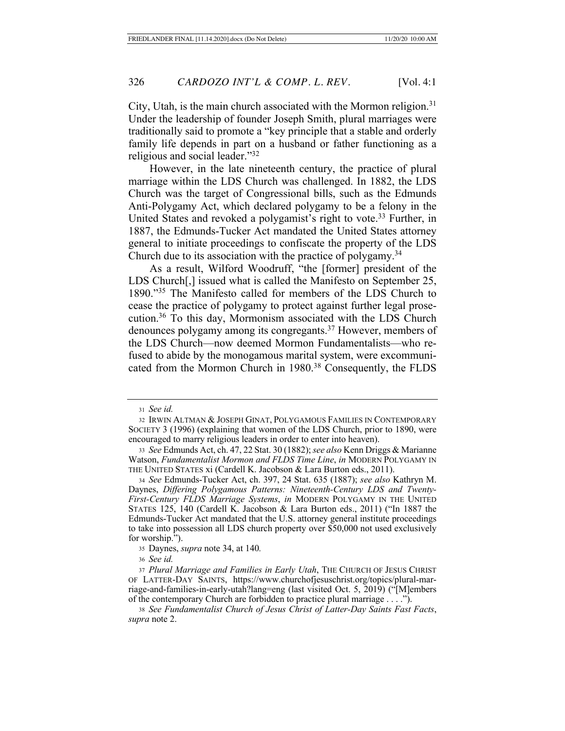City, Utah, is the main church associated with the Mormon religion.<sup>31</sup> Under the leadership of founder Joseph Smith, plural marriages were traditionally said to promote a "key principle that a stable and orderly family life depends in part on a husband or father functioning as a religious and social leader."32

However, in the late nineteenth century, the practice of plural marriage within the LDS Church was challenged. In 1882, the LDS Church was the target of Congressional bills, such as the Edmunds Anti-Polygamy Act, which declared polygamy to be a felony in the United States and revoked a polygamist's right to vote.<sup>33</sup> Further, in 1887, the Edmunds-Tucker Act mandated the United States attorney general to initiate proceedings to confiscate the property of the LDS Church due to its association with the practice of polygamy.<sup>34</sup>

As a result, Wilford Woodruff, "the [former] president of the LDS Church[,] issued what is called the Manifesto on September 25, 1890."35 The Manifesto called for members of the LDS Church to cease the practice of polygamy to protect against further legal prosecution.36 To this day, Mormonism associated with the LDS Church denounces polygamy among its congregants.37 However, members of the LDS Church—now deemed Mormon Fundamentalists—who refused to abide by the monogamous marital system, were excommunicated from the Mormon Church in 1980.<sup>38</sup> Consequently, the FLDS

<sup>31</sup> *See id.*

<sup>32</sup> IRWIN ALTMAN & JOSEPH GINAT, POLYGAMOUS FAMILIES IN CONTEMPORARY SOCIETY 3 (1996) (explaining that women of the LDS Church, prior to 1890, were encouraged to marry religious leaders in order to enter into heaven).

<sup>33</sup> *See* Edmunds Act, ch. 47, 22 Stat. 30 (1882); *see also* Kenn Driggs & Marianne Watson, *Fundamentalist Mormon and FLDS Time Line*, *in* MODERN POLYGAMY IN THE UNITED STATES xi (Cardell K. Jacobson & Lara Burton eds., 2011).

<sup>34</sup> *See* Edmunds-Tucker Act, ch. 397, 24 Stat. 635 (1887); *see also* Kathryn M. Daynes, *Differing Polygamous Patterns: Nineteenth-Century LDS and Twenty-First-Century FLDS Marriage Systems*, *in* MODERN POLYGAMY IN THE UNITED STATES 125, 140 (Cardell K. Jacobson & Lara Burton eds., 2011) ("In 1887 the Edmunds-Tucker Act mandated that the U.S. attorney general institute proceedings to take into possession all LDS church property over \$50,000 not used exclusively for worship.").

<sup>35</sup> Daynes, *supra* note 34, at 140*.*

<sup>36</sup> *See id.*

<sup>37</sup> *Plural Marriage and Families in Early Utah*, THE CHURCH OF JESUS CHRIST OF LATTER-DAY SAINTS, https://www.churchofjesuschrist.org/topics/plural-marriage-and-families-in-early-utah?lang=eng (last visited Oct. 5, 2019) ("[M]embers of the contemporary Church are forbidden to practice plural marriage . . . .").

<sup>38</sup> *See Fundamentalist Church of Jesus Christ of Latter-Day Saints Fast Facts*, *supra* note 2.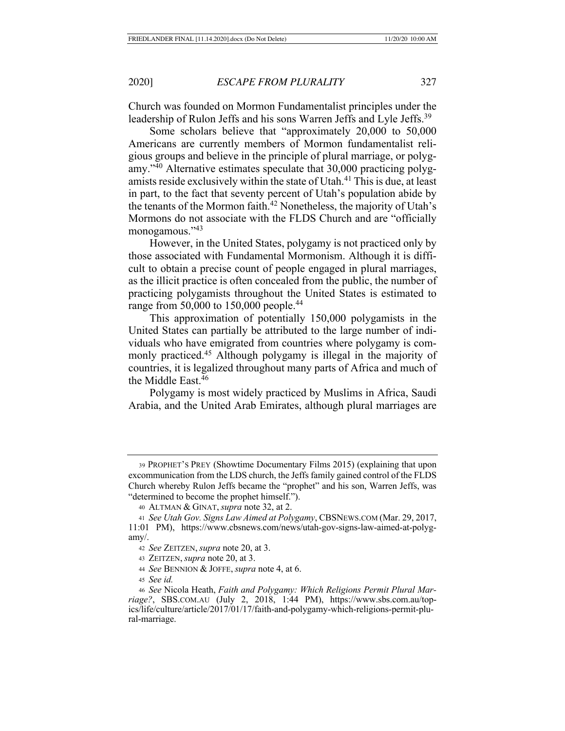Church was founded on Mormon Fundamentalist principles under the leadership of Rulon Jeffs and his sons Warren Jeffs and Lyle Jeffs.<sup>39</sup>

Some scholars believe that "approximately 20,000 to 50,000 Americans are currently members of Mormon fundamentalist religious groups and believe in the principle of plural marriage, or polygamy."40 Alternative estimates speculate that 30,000 practicing polygamists reside exclusively within the state of Utah.<sup>41</sup> This is due, at least in part, to the fact that seventy percent of Utah's population abide by the tenants of the Mormon faith.<sup>42</sup> Nonetheless, the majority of Utah's Mormons do not associate with the FLDS Church and are "officially monogamous."43

However, in the United States, polygamy is not practiced only by those associated with Fundamental Mormonism. Although it is difficult to obtain a precise count of people engaged in plural marriages, as the illicit practice is often concealed from the public, the number of practicing polygamists throughout the United States is estimated to range from 50,000 to 150,000 people.<sup>44</sup>

This approximation of potentially 150,000 polygamists in the United States can partially be attributed to the large number of individuals who have emigrated from countries where polygamy is commonly practiced.45 Although polygamy is illegal in the majority of countries, it is legalized throughout many parts of Africa and much of the Middle East.<sup>46</sup>

Polygamy is most widely practiced by Muslims in Africa, Saudi Arabia, and the United Arab Emirates, although plural marriages are

<sup>45</sup> *See id.*

<sup>39</sup> PROPHET'S PREY (Showtime Documentary Films 2015) (explaining that upon excommunication from the LDS church, the Jeffs family gained control of the FLDS Church whereby Rulon Jeffs became the "prophet" and his son, Warren Jeffs, was "determined to become the prophet himself.").

<sup>40</sup> ALTMAN & GINAT, *supra* note 32, at 2.

<sup>41</sup> *See Utah Gov. Signs Law Aimed at Polygamy*, CBSNEWS.COM (Mar. 29, 2017, 11:01 PM), https://www.cbsnews.com/news/utah-gov-signs-law-aimed-at-polygamy/.

<sup>42</sup> *See* ZEITZEN, *supra* note 20, at 3.

<sup>43</sup> ZEITZEN, *supra* note 20, at 3.

<sup>44</sup> *See* BENNION & JOFFE, *supra* note 4, at 6.

<sup>46</sup> *See* Nicola Heath, *Faith and Polygamy: Which Religions Permit Plural Marriage?*, SBS.COM.AU (July 2, 2018, 1:44 PM), https://www.sbs.com.au/topics/life/culture/article/2017/01/17/faith-and-polygamy-which-religions-permit-plural-marriage.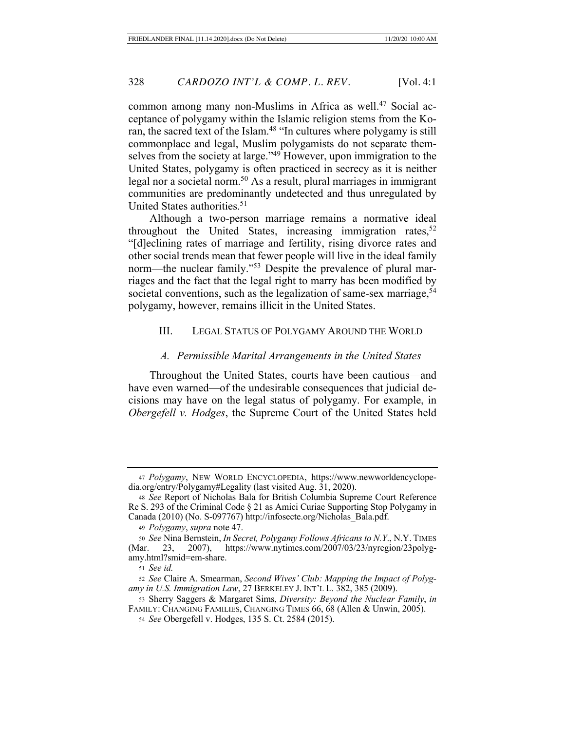common among many non-Muslims in Africa as well.<sup>47</sup> Social acceptance of polygamy within the Islamic religion stems from the Koran, the sacred text of the Islam.<sup>48</sup> "In cultures where polygamy is still commonplace and legal, Muslim polygamists do not separate themselves from the society at large."<sup>49</sup> However, upon immigration to the United States, polygamy is often practiced in secrecy as it is neither legal nor a societal norm.<sup>50</sup> As a result, plural marriages in immigrant communities are predominantly undetected and thus unregulated by United States authorities.<sup>51</sup>

Although a two-person marriage remains a normative ideal throughout the United States, increasing immigration rates,  $52$ "[d]eclining rates of marriage and fertility, rising divorce rates and other social trends mean that fewer people will live in the ideal family norm—the nuclear family."<sup>53</sup> Despite the prevalence of plural marriages and the fact that the legal right to marry has been modified by societal conventions, such as the legalization of same-sex marriage,<sup>54</sup> polygamy, however, remains illicit in the United States.

#### III. LEGAL STATUS OF POLYGAMY AROUND THE WORLD

#### *A. Permissible Marital Arrangements in the United States*

Throughout the United States, courts have been cautious—and have even warned—of the undesirable consequences that judicial decisions may have on the legal status of polygamy. For example, in *Obergefell v. Hodges*, the Supreme Court of the United States held

<sup>51</sup> *See id.*

<sup>47</sup> *Polygamy*, NEW WORLD ENCYCLOPEDIA, https://www.newworldencyclopedia.org/entry/Polygamy#Legality (last visited Aug. 31, 2020).

<sup>48</sup> *See* Report of Nicholas Bala for British Columbia Supreme Court Reference Re S. 293 of the Criminal Code § 21 as Amici Curiae Supporting Stop Polygamy in Canada (2010) (No. S-097767) http://infosecte.org/Nicholas\_Bala.pdf.

<sup>49</sup> *Polygamy*, *supra* note 47.

<sup>50</sup> *See* Nina Bernstein, *In Secret, Polygamy Follows Africans to N.Y*., N.Y. TIMES (Mar. 23, 2007), https://www.nytimes.com/2007/03/23/nyregion/23polygamy.html?smid=em-share.

<sup>52</sup> *See* Claire A. Smearman, *Second Wives' Club: Mapping the Impact of Polygamy in U.S. Immigration Law*, 27 BERKELEY J. INT'L L. 382, 385 (2009).

<sup>53</sup> Sherry Saggers & Margaret Sims, *Diversity: Beyond the Nuclear Family*, *in* FAMILY: CHANGING FAMILIES, CHANGING TIMES 66, 68 (Allen & Unwin, 2005).

<sup>54</sup> *See* Obergefell v. Hodges, 135 S. Ct. 2584 (2015).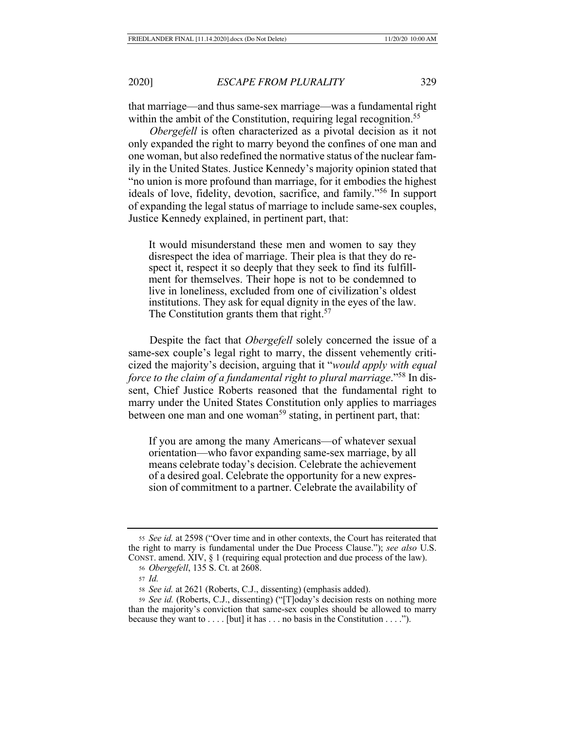that marriage—and thus same-sex marriage—was a fundamental right within the ambit of the Constitution, requiring legal recognition.<sup>55</sup>

*Obergefell* is often characterized as a pivotal decision as it not only expanded the right to marry beyond the confines of one man and one woman, but also redefined the normative status of the nuclear family in the United States. Justice Kennedy's majority opinion stated that "no union is more profound than marriage, for it embodies the highest ideals of love, fidelity, devotion, sacrifice, and family."56 In support of expanding the legal status of marriage to include same-sex couples, Justice Kennedy explained, in pertinent part, that:

It would misunderstand these men and women to say they disrespect the idea of marriage. Their plea is that they do respect it, respect it so deeply that they seek to find its fulfillment for themselves. Their hope is not to be condemned to live in loneliness, excluded from one of civilization's oldest institutions. They ask for equal dignity in the eyes of the law. The Constitution grants them that right.<sup>57</sup>

Despite the fact that *Obergefell* solely concerned the issue of a same-sex couple's legal right to marry, the dissent vehemently criticized the majority's decision, arguing that it "*would apply with equal force to the claim of a fundamental right to plural marriage*."58 In dissent, Chief Justice Roberts reasoned that the fundamental right to marry under the United States Constitution only applies to marriages between one man and one woman<sup>59</sup> stating, in pertinent part, that:

If you are among the many Americans—of whatever sexual orientation—who favor expanding same-sex marriage, by all means celebrate today's decision. Celebrate the achievement of a desired goal. Celebrate the opportunity for a new expression of commitment to a partner. Celebrate the availability of

<sup>55</sup> *See id.* at 2598 ("Over time and in other contexts, the Court has reiterated that the right to marry is fundamental under the Due Process Clause."); *see also* U.S. CONST. amend. XIV, § 1 (requiring equal protection and due process of the law). <sup>56</sup> *Obergefell*, 135 S. Ct. at 2608.

<sup>57</sup> *Id.*

<sup>58</sup> *See id.* at 2621 (Roberts, C.J., dissenting) (emphasis added).

<sup>59</sup> *See id.* (Roberts, C.J., dissenting) ("[T]oday's decision rests on nothing more than the majority's conviction that same-sex couples should be allowed to marry because they want to  $\dots$  [but] it has  $\dots$  no basis in the Constitution  $\dots$ .").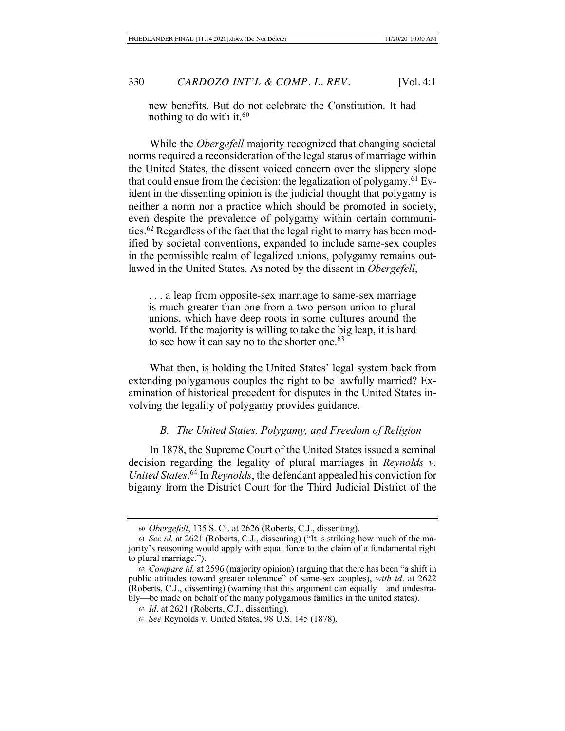new benefits. But do not celebrate the Constitution. It had nothing to do with it.<sup>60</sup>

While the *Obergefell* majority recognized that changing societal norms required a reconsideration of the legal status of marriage within the United States, the dissent voiced concern over the slippery slope that could ensue from the decision: the legalization of polygamy.<sup>61</sup> Evident in the dissenting opinion is the judicial thought that polygamy is neither a norm nor a practice which should be promoted in society, even despite the prevalence of polygamy within certain communities.62 Regardless of the fact that the legal right to marry has been modified by societal conventions, expanded to include same-sex couples in the permissible realm of legalized unions, polygamy remains outlawed in the United States. As noted by the dissent in *Obergefell*,

. . . a leap from opposite-sex marriage to same-sex marriage is much greater than one from a two-person union to plural unions, which have deep roots in some cultures around the world. If the majority is willing to take the big leap, it is hard to see how it can say no to the shorter one.<sup>63</sup>

What then, is holding the United States' legal system back from extending polygamous couples the right to be lawfully married? Examination of historical precedent for disputes in the United States involving the legality of polygamy provides guidance.

## *B. The United States, Polygamy, and Freedom of Religion*

In 1878, the Supreme Court of the United States issued a seminal decision regarding the legality of plural marriages in *Reynolds v. United States*. 64 In *Reynolds*, the defendant appealed his conviction for bigamy from the District Court for the Third Judicial District of the

<sup>60</sup> *Obergefell*, 135 S. Ct. at 2626 (Roberts, C.J., dissenting).

<sup>61</sup> *See id.* at 2621 (Roberts, C.J., dissenting) ("It is striking how much of the majority's reasoning would apply with equal force to the claim of a fundamental right to plural marriage.").

<sup>62</sup> *Compare id.* at 2596 (majority opinion) (arguing that there has been "a shift in public attitudes toward greater tolerance" of same-sex couples), *with id*. at 2622 (Roberts, C.J., dissenting) (warning that this argument can equally—and undesirably—be made on behalf of the many polygamous families in the united states).

<sup>63</sup> *Id*. at 2621 (Roberts, C.J., dissenting).

<sup>64</sup> *See* Reynolds v. United States, 98 U.S. 145 (1878).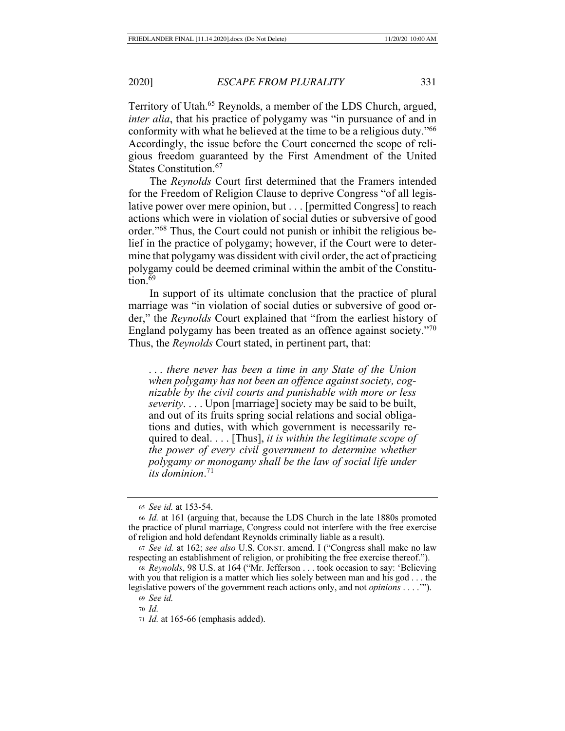Territory of Utah.65 Reynolds, a member of the LDS Church, argued, *inter alia*, that his practice of polygamy was "in pursuance of and in conformity with what he believed at the time to be a religious duty."66 Accordingly, the issue before the Court concerned the scope of religious freedom guaranteed by the First Amendment of the United States Constitution.<sup>67</sup>

The *Reynolds* Court first determined that the Framers intended for the Freedom of Religion Clause to deprive Congress "of all legislative power over mere opinion, but . . . [permitted Congress] to reach actions which were in violation of social duties or subversive of good order."68 Thus, the Court could not punish or inhibit the religious belief in the practice of polygamy; however, if the Court were to determine that polygamy was dissident with civil order, the act of practicing polygamy could be deemed criminal within the ambit of the Constitu- $\frac{1}{1}$ tion<sup>69</sup>

In support of its ultimate conclusion that the practice of plural marriage was "in violation of social duties or subversive of good order," the *Reynolds* Court explained that "from the earliest history of England polygamy has been treated as an offence against society."70 Thus, the *Reynolds* Court stated, in pertinent part, that:

. . . *there never has been a time in any State of the Union when polygamy has not been an offence against society, cognizable by the civil courts and punishable with more or less severity*. . . . Upon [marriage] society may be said to be built, and out of its fruits spring social relations and social obligations and duties, with which government is necessarily required to deal. . . . [Thus], *it is within the legitimate scope of the power of every civil government to determine whether polygamy or monogamy shall be the law of social life under its dominion*. 71

<sup>65</sup> *See id.* at 153-54.

<sup>66</sup> *Id.* at 161 (arguing that, because the LDS Church in the late 1880s promoted the practice of plural marriage, Congress could not interfere with the free exercise of religion and hold defendant Reynolds criminally liable as a result).

<sup>67</sup> *See id.* at 162; *see also* U.S. CONST. amend. I ("Congress shall make no law respecting an establishment of religion, or prohibiting the free exercise thereof.").

<sup>68</sup> *Reynolds*, 98 U.S. at 164 ("Mr. Jefferson . . . took occasion to say: 'Believing with you that religion is a matter which lies solely between man and his god . . . the legislative powers of the government reach actions only, and not *opinions* . . . .'").

<sup>69</sup> *See id.*

<sup>70</sup> *Id.*

<sup>71</sup> *Id.* at 165-66 (emphasis added).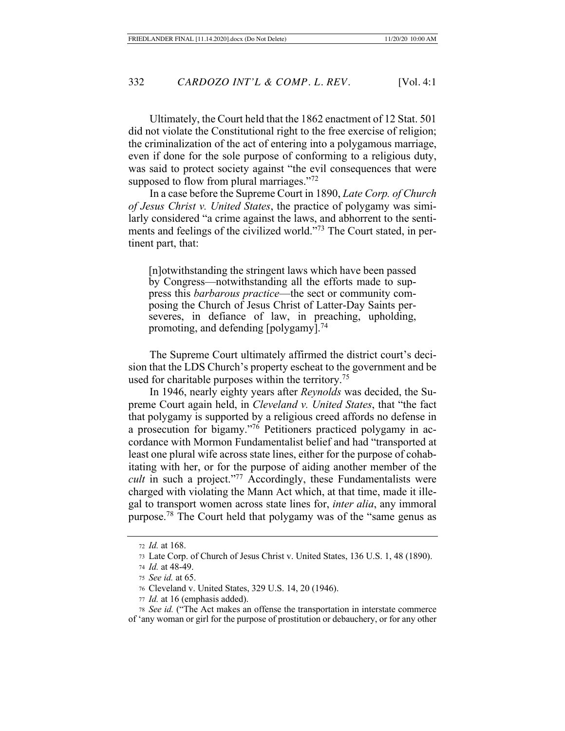Ultimately, the Court held that the 1862 enactment of 12 Stat. 501 did not violate the Constitutional right to the free exercise of religion; the criminalization of the act of entering into a polygamous marriage, even if done for the sole purpose of conforming to a religious duty, was said to protect society against "the evil consequences that were supposed to flow from plural marriages."<sup>72</sup>

In a case before the Supreme Court in 1890, *Late Corp. of Church of Jesus Christ v. United States*, the practice of polygamy was similarly considered "a crime against the laws, and abhorrent to the sentiments and feelings of the civilized world."73 The Court stated, in pertinent part, that:

[n]otwithstanding the stringent laws which have been passed by Congress—notwithstanding all the efforts made to suppress this *barbarous practice*—the sect or community composing the Church of Jesus Christ of Latter-Day Saints perseveres, in defiance of law, in preaching, upholding, promoting, and defending  $[polygam]$ <sup>74</sup>

The Supreme Court ultimately affirmed the district court's decision that the LDS Church's property escheat to the government and be used for charitable purposes within the territory.<sup>75</sup>

In 1946, nearly eighty years after *Reynolds* was decided, the Supreme Court again held, in *Cleveland v. United States*, that "the fact that polygamy is supported by a religious creed affords no defense in a prosecution for bigamy."76 Petitioners practiced polygamy in accordance with Mormon Fundamentalist belief and had "transported at least one plural wife across state lines, either for the purpose of cohabitating with her, or for the purpose of aiding another member of the *cult* in such a project."<sup>77</sup> Accordingly, these Fundamentalists were charged with violating the Mann Act which, at that time, made it illegal to transport women across state lines for, *inter alia*, any immoral purpose.78 The Court held that polygamy was of the "same genus as

<sup>72</sup> *Id.* at 168.

<sup>73</sup> Late Corp. of Church of Jesus Christ v. United States, 136 U.S. 1, 48 (1890).

<sup>74</sup> *Id.* at 48-49.

<sup>75</sup> *See id.* at 65.

<sup>76</sup> Cleveland v. United States, 329 U.S. 14, 20 (1946).

<sup>77</sup> *Id.* at 16 (emphasis added).

<sup>78</sup> *See id.* ("The Act makes an offense the transportation in interstate commerce of 'any woman or girl for the purpose of prostitution or debauchery, or for any other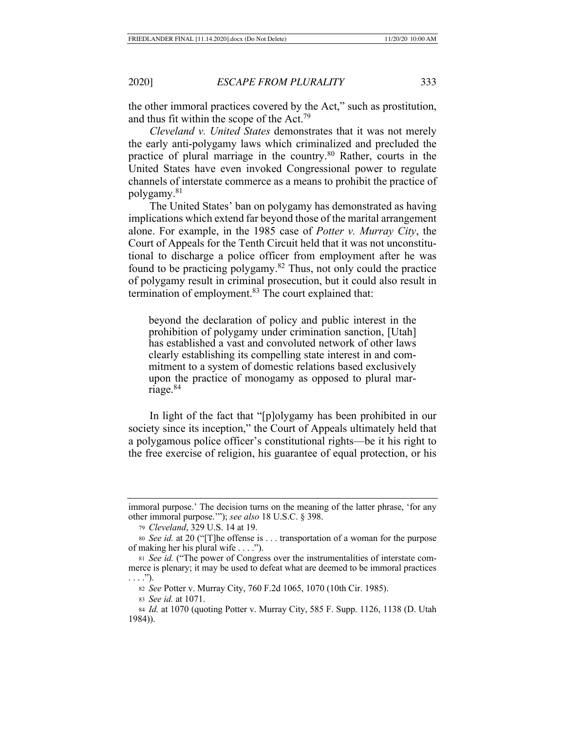the other immoral practices covered by the Act," such as prostitution, and thus fit within the scope of the Act.79

*Cleveland v. United States* demonstrates that it was not merely the early anti-polygamy laws which criminalized and precluded the practice of plural marriage in the country.80 Rather, courts in the United States have even invoked Congressional power to regulate channels of interstate commerce as a means to prohibit the practice of polygamy.81

The United States' ban on polygamy has demonstrated as having implications which extend far beyond those of the marital arrangement alone. For example, in the 1985 case of *Potter v. Murray City*, the Court of Appeals for the Tenth Circuit held that it was not unconstitutional to discharge a police officer from employment after he was found to be practicing polygamy.82 Thus, not only could the practice of polygamy result in criminal prosecution, but it could also result in termination of employment.<sup>83</sup> The court explained that:

beyond the declaration of policy and public interest in the prohibition of polygamy under crimination sanction, [Utah] has established a vast and convoluted network of other laws clearly establishing its compelling state interest in and commitment to a system of domestic relations based exclusively upon the practice of monogamy as opposed to plural marriage.84

In light of the fact that "[p]olygamy has been prohibited in our society since its inception," the Court of Appeals ultimately held that a polygamous police officer's constitutional rights—be it his right to the free exercise of religion, his guarantee of equal protection, or his

<sup>82</sup> *See* Potter v. Murray City, 760 F.2d 1065, 1070 (10th Cir. 1985).

<sup>83</sup> *See id.* at 1071.

immoral purpose.' The decision turns on the meaning of the latter phrase, 'for any other immoral purpose.'"); *see also* 18 U.S.C. § 398.

<sup>79</sup> *Cleveland*, 329 U.S. 14 at 19.

<sup>80</sup> *See id.* at 20 ("[T]he offense is . . . transportation of a woman for the purpose of making her his plural wife . . . .").

<sup>81</sup> *See id.* ("The power of Congress over the instrumentalities of interstate commerce is plenary; it may be used to defeat what are deemed to be immoral practices  $\ldots$ .").

<sup>84</sup> *Id.* at 1070 (quoting Potter v. Murray City, 585 F. Supp. 1126, 1138 (D. Utah 1984)).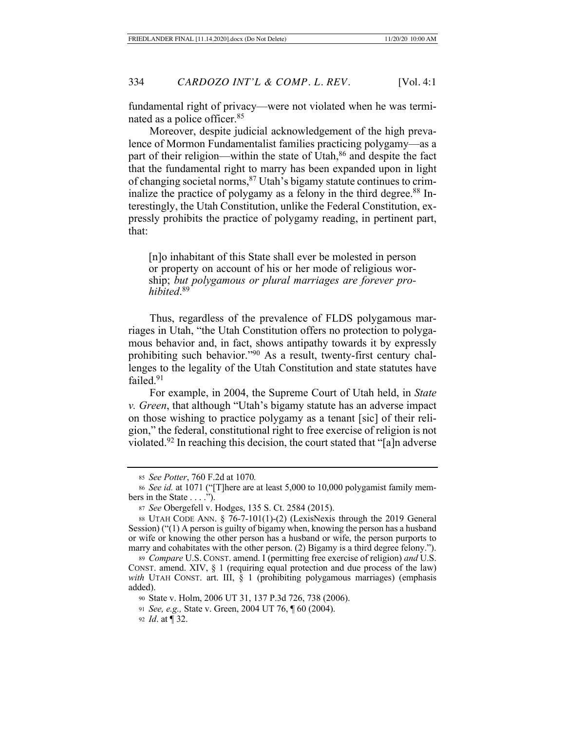fundamental right of privacy—were not violated when he was terminated as a police officer.85

Moreover, despite judicial acknowledgement of the high prevalence of Mormon Fundamentalist families practicing polygamy—as a part of their religion—within the state of Utah,<sup>86</sup> and despite the fact that the fundamental right to marry has been expanded upon in light of changing societal norms,87 Utah's bigamy statute continues to criminalize the practice of polygamy as a felony in the third degree.<sup>88</sup> Interestingly, the Utah Constitution, unlike the Federal Constitution, expressly prohibits the practice of polygamy reading, in pertinent part, that:

[n]o inhabitant of this State shall ever be molested in person or property on account of his or her mode of religious worship; *but polygamous or plural marriages are forever prohibited*. 89

Thus, regardless of the prevalence of FLDS polygamous marriages in Utah, "the Utah Constitution offers no protection to polygamous behavior and, in fact, shows antipathy towards it by expressly prohibiting such behavior."90 As a result, twenty-first century challenges to the legality of the Utah Constitution and state statutes have failed.<sup>91</sup>

For example, in 2004, the Supreme Court of Utah held, in *State v. Green*, that although "Utah's bigamy statute has an adverse impact on those wishing to practice polygamy as a tenant [sic] of their religion," the federal, constitutional right to free exercise of religion is not violated.<sup>92</sup> In reaching this decision, the court stated that "[a]n adverse

<sup>92</sup> *Id*. at ¶ 32.

<sup>85</sup> *See Potter*, 760 F.2d at 1070*.*

<sup>86</sup> *See id.* at 1071 ("[T]here are at least 5,000 to 10,000 polygamist family members in the State . . . .").

<sup>87</sup> *See* Obergefell v. Hodges, 135 S. Ct. 2584 (2015).

<sup>88</sup> UTAH CODE ANN. § 76-7-101(1)-(2) (LexisNexis through the 2019 General Session) ("(1) A person is guilty of bigamy when, knowing the person has a husband or wife or knowing the other person has a husband or wife, the person purports to marry and cohabitates with the other person. (2) Bigamy is a third degree felony.").

<sup>89</sup> *Compare* U.S. CONST. amend. I (permitting free exercise of religion) *and* U.S. CONST. amend. XIV, § 1 (requiring equal protection and due process of the law) with UTAH CONST. art. III, § 1 (prohibiting polygamous marriages) (emphasis added).

<sup>90</sup> State v. Holm, 2006 UT 31, 137 P.3d 726, 738 (2006).

<sup>91</sup> *See, e.g.,* State v. Green, 2004 UT 76, ¶ 60 (2004).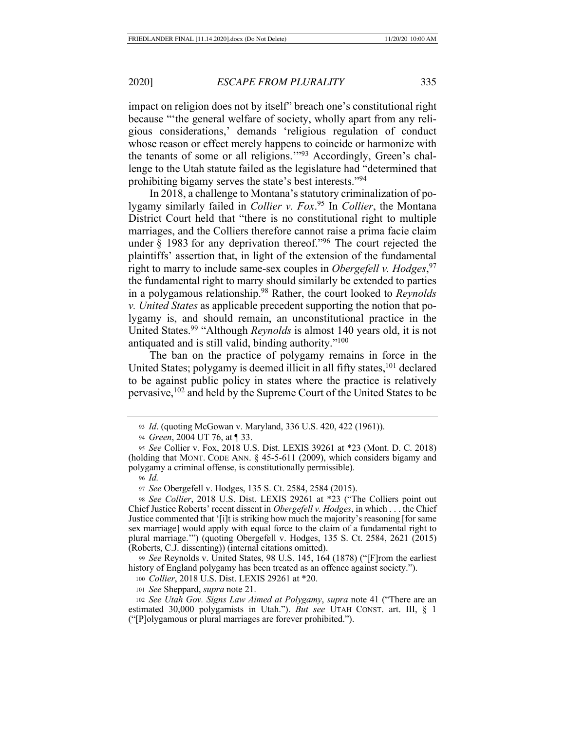impact on religion does not by itself" breach one's constitutional right because "'the general welfare of society, wholly apart from any religious considerations,' demands 'religious regulation of conduct whose reason or effect merely happens to coincide or harmonize with the tenants of some or all religions.'"93 Accordingly, Green's challenge to the Utah statute failed as the legislature had "determined that prohibiting bigamy serves the state's best interests."94

In 2018, a challenge to Montana's statutory criminalization of polygamy similarly failed in *Collier v. Fox*. 95 In *Collier*, the Montana District Court held that "there is no constitutional right to multiple marriages, and the Colliers therefore cannot raise a prima facie claim under § 1983 for any deprivation thereof."<sup>96</sup> The court rejected the plaintiffs' assertion that, in light of the extension of the fundamental right to marry to include same-sex couples in *Obergefell v. Hodges*, 97 the fundamental right to marry should similarly be extended to parties in a polygamous relationship.98 Rather, the court looked to *Reynolds v. United States* as applicable precedent supporting the notion that polygamy is, and should remain, an unconstitutional practice in the United States.99 "Although *Reynolds* is almost 140 years old, it is not antiquated and is still valid, binding authority."<sup>100</sup>

The ban on the practice of polygamy remains in force in the United States; polygamy is deemed illicit in all fifty states,<sup>101</sup> declared to be against public policy in states where the practice is relatively pervasive,102 and held by the Supreme Court of the United States to be

<sup>94</sup> *Green*, 2004 UT 76, at ¶ 33.

<sup>98</sup> *See Collier*, 2018 U.S. Dist. LEXIS 29261 at \*23 ("The Colliers point out Chief Justice Roberts' recent dissent in *Obergefell v. Hodges*, in which . . . the Chief Justice commented that '[i]t is striking how much the majority's reasoning [for same sex marriage] would apply with equal force to the claim of a fundamental right to plural marriage.'") (quoting Obergefell v. Hodges, 135 S. Ct. 2584, 2621 (2015) (Roberts, C.J. dissenting)) (internal citations omitted).

<sup>99</sup> *See* Reynolds v. United States, 98 U.S. 145, 164 (1878) ("[F]rom the earliest history of England polygamy has been treated as an offence against society.").

<sup>100</sup> *Collier*, 2018 U.S. Dist. LEXIS 29261 at \*20.

<sup>93</sup> *Id*. (quoting McGowan v. Maryland, 336 U.S. 420, 422 (1961)).

<sup>95</sup> *See* Collier v. Fox, 2018 U.S. Dist. LEXIS 39261 at \*23 (Mont. D. C. 2018) (holding that MONT. CODE ANN. § 45-5-611 (2009), which considers bigamy and polygamy a criminal offense, is constitutionally permissible).

<sup>96</sup> *Id.*

<sup>97</sup> *See* Obergefell v. Hodges, 135 S. Ct. 2584, 2584 (2015).

<sup>101</sup> *See* Sheppard, *supra* note 21.

<sup>102</sup> *See Utah Gov. Signs Law Aimed at Polygamy*, *supra* note 41 ("There are an estimated 30,000 polygamists in Utah."). *But see* UTAH CONST. art. III, § 1 ("[P]olygamous or plural marriages are forever prohibited.").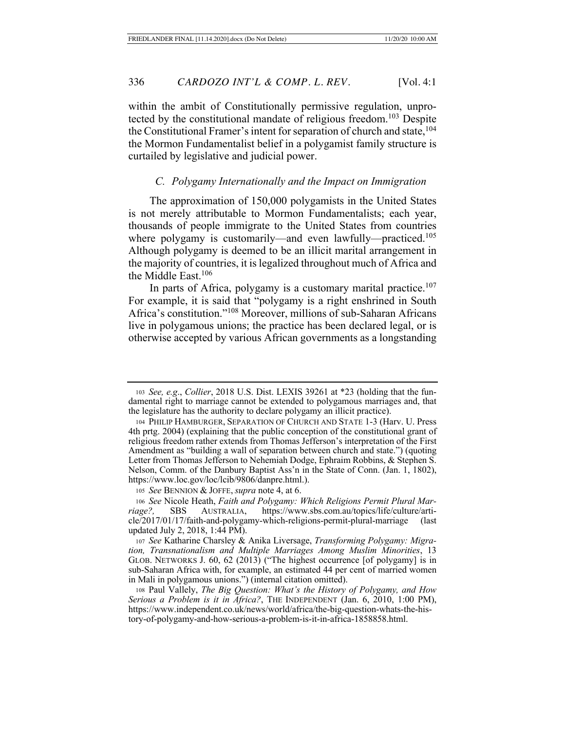within the ambit of Constitutionally permissive regulation, unprotected by the constitutional mandate of religious freedom.<sup>103</sup> Despite the Constitutional Framer's intent for separation of church and state,<sup>104</sup> the Mormon Fundamentalist belief in a polygamist family structure is curtailed by legislative and judicial power.

## *C. Polygamy Internationally and the Impact on Immigration*

The approximation of 150,000 polygamists in the United States is not merely attributable to Mormon Fundamentalists; each year, thousands of people immigrate to the United States from countries where polygamy is customarily—and even lawfully—practiced.<sup>105</sup> Although polygamy is deemed to be an illicit marital arrangement in the majority of countries, it is legalized throughout much of Africa and the Middle East.<sup>106</sup>

In parts of Africa, polygamy is a customary marital practice.<sup>107</sup> For example, it is said that "polygamy is a right enshrined in South Africa's constitution."108 Moreover, millions of sub-Saharan Africans live in polygamous unions; the practice has been declared legal, or is otherwise accepted by various African governments as a longstanding

<sup>105</sup> *See* BENNION & JOFFE, *supra* note 4, at 6.

<sup>106</sup> *See* Nicole Heath, *Faith and Polygamy: Which Religions Permit Plural Marriage?,* SBS AUSTRALIA, https://www.sbs.com.au/topics/life/culture/article/2017/01/17/faith-and-polygamy-which-religions-permit-plural-marriage (last updated July 2, 2018, 1:44 PM).

<sup>107</sup> *See* Katharine Charsley & Anika Liversage, *Transforming Polygamy: Migration, Transnationalism and Multiple Marriages Among Muslim Minorities*, 13 GLOB. NETWORKS J. 60, 62 (2013) ("The highest occurrence [of polygamy] is in sub-Saharan Africa with, for example, an estimated 44 per cent of married women in Mali in polygamous unions.") (internal citation omitted).

<sup>108</sup> Paul Vallely, *The Big Question: What's the History of Polygamy, and How Serious a Problem is it in Africa?*, THE INDEPENDENT (Jan. 6, 2010, 1:00 PM), https://www.independent.co.uk/news/world/africa/the-big-question-whats-the-history-of-polygamy-and-how-serious-a-problem-is-it-in-africa-1858858.html.

<sup>103</sup> *See, e.g*., *Collier*, 2018 U.S. Dist. LEXIS 39261 at \*23 (holding that the fundamental right to marriage cannot be extended to polygamous marriages and, that the legislature has the authority to declare polygamy an illicit practice).

<sup>104</sup> PHILIP HAMBURGER, SEPARATION OF CHURCH AND STATE 1-3 (Harv. U. Press 4th prtg. 2004) (explaining that the public conception of the constitutional grant of religious freedom rather extends from Thomas Jefferson's interpretation of the First Amendment as "building a wall of separation between church and state.") (quoting Letter from Thomas Jefferson to Nehemiah Dodge, Ephraim Robbins, & Stephen S. Nelson, Comm. of the Danbury Baptist Ass'n in the State of Conn. (Jan. 1, 1802), https://www.loc.gov/loc/lcib/9806/danpre.html.).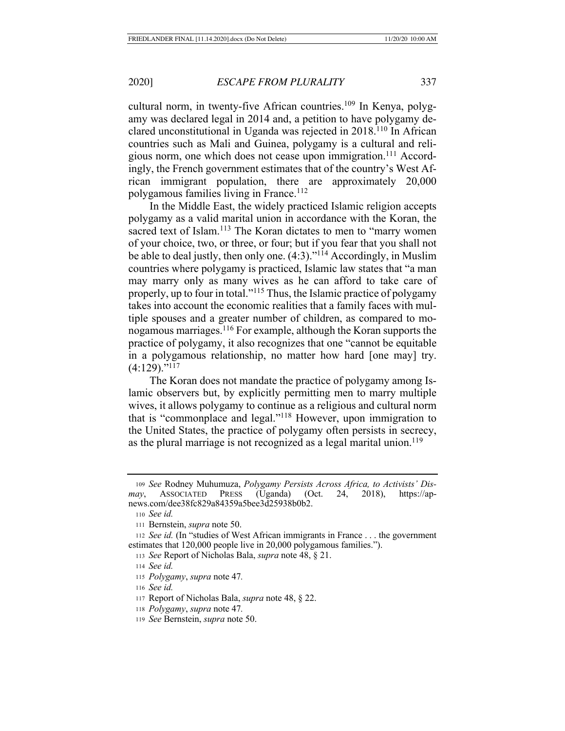cultural norm, in twenty-five African countries.<sup>109</sup> In Kenya, polygamy was declared legal in 2014 and, a petition to have polygamy declared unconstitutional in Uganda was rejected in 2018.110 In African countries such as Mali and Guinea, polygamy is a cultural and religious norm, one which does not cease upon immigration.<sup>111</sup> Accordingly, the French government estimates that of the country's West African immigrant population, there are approximately 20,000 polygamous families living in France.<sup>112</sup>

In the Middle East, the widely practiced Islamic religion accepts polygamy as a valid marital union in accordance with the Koran, the sacred text of Islam.<sup>113</sup> The Koran dictates to men to "marry women" of your choice, two, or three, or four; but if you fear that you shall not be able to deal justly, then only one. (4:3)."114 Accordingly, in Muslim countries where polygamy is practiced, Islamic law states that "a man may marry only as many wives as he can afford to take care of properly, up to four in total."115 Thus, the Islamic practice of polygamy takes into account the economic realities that a family faces with multiple spouses and a greater number of children, as compared to monogamous marriages.116 For example, although the Koran supports the practice of polygamy, it also recognizes that one "cannot be equitable in a polygamous relationship, no matter how hard [one may] try.  $(4:129)$ ."<sup>117</sup>

The Koran does not mandate the practice of polygamy among Islamic observers but, by explicitly permitting men to marry multiple wives, it allows polygamy to continue as a religious and cultural norm that is "commonplace and legal."118 However, upon immigration to the United States, the practice of polygamy often persists in secrecy, as the plural marriage is not recognized as a legal marital union.<sup>119</sup>

<sup>116</sup> *See id.*

<sup>118</sup> *Polygamy*, *supra* note 47*.*

<sup>109</sup> *See* Rodney Muhumuza, *Polygamy Persists Across Africa, to Activists' Dismay*, ASSOCIATED PRESS (Uganda) (Oct. 24, 2018), https://apnews.com/dee38fc829a84359a5bee3d25938b0b2.

<sup>110</sup> *See id.*

<sup>111</sup> Bernstein, *supra* note 50.

<sup>112</sup> *See id.* (In "studies of West African immigrants in France . . . the government estimates that 120,000 people live in 20,000 polygamous families.").

<sup>113</sup> *See* Report of Nicholas Bala, *supra* note 48, § 21.

<sup>114</sup> *See id.*

<sup>115</sup> *Polygamy*, *supra* note 47*.*

<sup>117</sup> Report of Nicholas Bala, *supra* note 48, § 22.

<sup>119</sup> *See* Bernstein, *supra* note 50.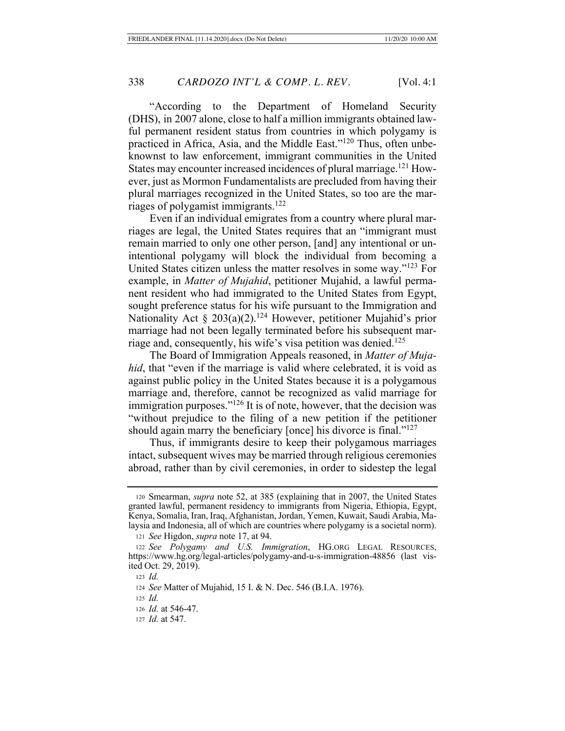"According to the Department of Homeland Security (DHS), in 2007 alone, close to half a million immigrants obtained lawful permanent resident status from countries in which polygamy is practiced in Africa, Asia, and the Middle East."120 Thus, often unbeknownst to law enforcement, immigrant communities in the United States may encounter increased incidences of plural marriage.<sup>121</sup> However, just as Mormon Fundamentalists are precluded from having their plural marriages recognized in the United States, so too are the marriages of polygamist immigrants.122

Even if an individual emigrates from a country where plural marriages are legal, the United States requires that an "immigrant must remain married to only one other person, [and] any intentional or unintentional polygamy will block the individual from becoming a United States citizen unless the matter resolves in some way."123 For example, in *Matter of Mujahid*, petitioner Mujahid, a lawful permanent resident who had immigrated to the United States from Egypt, sought preference status for his wife pursuant to the Immigration and Nationality Act § 203(a)(2).<sup>124</sup> However, petitioner Mujahid's prior marriage had not been legally terminated before his subsequent marriage and, consequently, his wife's visa petition was denied.<sup>125</sup>

The Board of Immigration Appeals reasoned, in *Matter of Mujahid*, that "even if the marriage is valid where celebrated, it is void as against public policy in the United States because it is a polygamous marriage and, therefore, cannot be recognized as valid marriage for immigration purposes."126 It is of note, however, that the decision was "without prejudice to the filing of a new petition if the petitioner should again marry the beneficiary [once] his divorce is final."<sup>127</sup>

Thus, if immigrants desire to keep their polygamous marriages intact, subsequent wives may be married through religious ceremonies abroad, rather than by civil ceremonies, in order to sidestep the legal

<sup>120</sup> Smearman, *supra* note 52, at 385 (explaining that in 2007, the United States granted lawful, permanent residency to immigrants from Nigeria, Ethiopia, Egypt, Kenya, Somalia, Iran, Iraq, Afghanistan, Jordan, Yemen, Kuwait, Saudi Arabia, Malaysia and Indonesia, all of which are countries where polygamy is a societal norm).

<sup>121</sup> *See* Higdon, *supra* note 17, at 94.

<sup>122</sup> *See Polygamy and U.S. Immigration*, HG.ORG LEGAL RESOURCES, https://www.hg.org/legal-articles/polygamy-and-u-s-immigration-48856 (last visited Oct. 29, 2019).

<sup>123</sup> *Id.*

<sup>124</sup> *See* Matter of Mujahid, 15 I. & N. Dec. 546 (B.I.A. 1976).

<sup>125</sup> *Id.*

<sup>126</sup> *Id.* at 546-47.

<sup>127</sup> *Id.* at 547.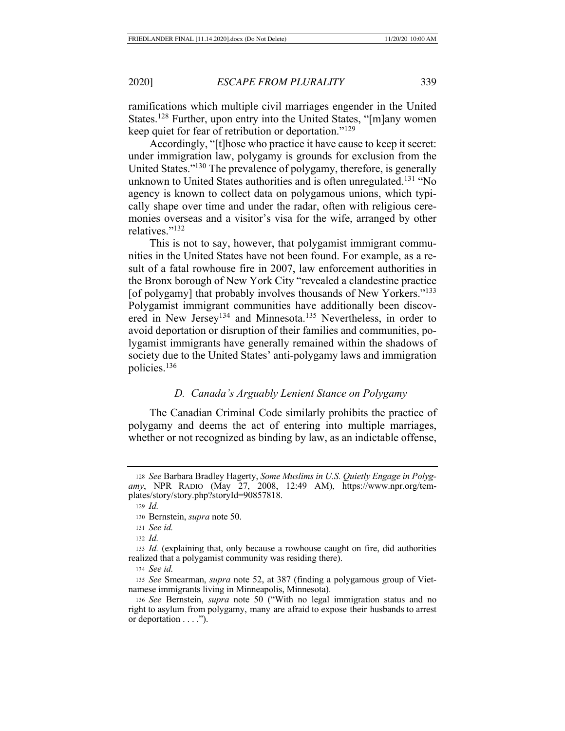ramifications which multiple civil marriages engender in the United States.<sup>128</sup> Further, upon entry into the United States, "[m]any women keep quiet for fear of retribution or deportation."129

Accordingly, "[t]hose who practice it have cause to keep it secret: under immigration law, polygamy is grounds for exclusion from the United States."130 The prevalence of polygamy, therefore, is generally unknown to United States authorities and is often unregulated.<sup>131</sup> "No agency is known to collect data on polygamous unions, which typically shape over time and under the radar, often with religious ceremonies overseas and a visitor's visa for the wife, arranged by other relatives."132

This is not to say, however, that polygamist immigrant communities in the United States have not been found. For example, as a result of a fatal rowhouse fire in 2007, law enforcement authorities in the Bronx borough of New York City "revealed a clandestine practice [of polygamy] that probably involves thousands of New Yorkers."<sup>133</sup> Polygamist immigrant communities have additionally been discovered in New Jersey<sup>134</sup> and Minnesota.<sup>135</sup> Nevertheless, in order to avoid deportation or disruption of their families and communities, polygamist immigrants have generally remained within the shadows of society due to the United States' anti-polygamy laws and immigration policies.136

#### *D. Canada's Arguably Lenient Stance on Polygamy*

The Canadian Criminal Code similarly prohibits the practice of polygamy and deems the act of entering into multiple marriages, whether or not recognized as binding by law, as an indictable offense,

<sup>128</sup> *See* Barbara Bradley Hagerty, *Some Muslims in U.S. Quietly Engage in Polygamy*, NPR RADIO (May 27, 2008, 12:49 AM), https://www.npr.org/templates/story/story.php?storyId=90857818.

<sup>129</sup> *Id.*

<sup>130</sup> Bernstein, *supra* note 50.

<sup>131</sup> *See id.*

<sup>132</sup> *Id.*

<sup>133</sup> *Id.* (explaining that, only because a rowhouse caught on fire, did authorities realized that a polygamist community was residing there).

<sup>134</sup> *See id.*

<sup>135</sup> *See* Smearman, *supra* note 52, at 387 (finding a polygamous group of Vietnamese immigrants living in Minneapolis, Minnesota).

<sup>136</sup> *See* Bernstein, *supra* note 50 ("With no legal immigration status and no right to asylum from polygamy, many are afraid to expose their husbands to arrest or deportation . . . .").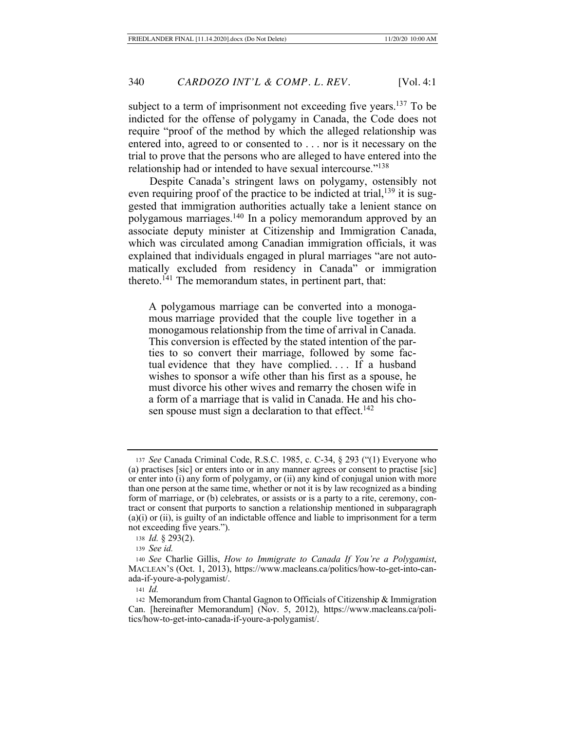subject to a term of imprisonment not exceeding five years.<sup>137</sup> To be indicted for the offense of polygamy in Canada, the Code does not require "proof of the method by which the alleged relationship was entered into, agreed to or consented to . . . nor is it necessary on the trial to prove that the persons who are alleged to have entered into the relationship had or intended to have sexual intercourse."138

Despite Canada's stringent laws on polygamy, ostensibly not even requiring proof of the practice to be indicted at trial, $139$  it is suggested that immigration authorities actually take a lenient stance on polygamous marriages.140 In a policy memorandum approved by an associate deputy minister at Citizenship and Immigration Canada, which was circulated among Canadian immigration officials, it was explained that individuals engaged in plural marriages "are not automatically excluded from residency in Canada" or immigration thereto.<sup>141</sup> The memorandum states, in pertinent part, that:

A polygamous marriage can be converted into a monogamous marriage provided that the couple live together in a monogamous relationship from the time of arrival in Canada. This conversion is effected by the stated intention of the parties to so convert their marriage, followed by some factual evidence that they have complied.... If a husband wishes to sponsor a wife other than his first as a spouse, he must divorce his other wives and remarry the chosen wife in a form of a marriage that is valid in Canada. He and his chosen spouse must sign a declaration to that effect.<sup>142</sup>

<sup>137</sup> *See* Canada Criminal Code, R.S.C. 1985, c. C-34, § 293 ("(1) Everyone who (a) practises [sic] or enters into or in any manner agrees or consent to practise [sic] or enter into (i) any form of polygamy, or (ii) any kind of conjugal union with more than one person at the same time, whether or not it is by law recognized as a binding form of marriage, or (b) celebrates, or assists or is a party to a rite, ceremony, contract or consent that purports to sanction a relationship mentioned in subparagraph (a)(i) or (ii), is guilty of an indictable offence and liable to imprisonment for a term not exceeding five years.").

<sup>138</sup> *Id.* § 293(2).

<sup>139</sup> *See id.*

<sup>140</sup> *See* Charlie Gillis, *How to Immigrate to Canada If You're a Polygamist*, MACLEAN'S (Oct. 1, 2013), https://www.macleans.ca/politics/how-to-get-into-canada-if-youre-a-polygamist/.

<sup>141</sup> *Id.*

<sup>142</sup> Memorandum from Chantal Gagnon to Officials of Citizenship & Immigration Can. [hereinafter Memorandum] (Nov. 5, 2012), https://www.macleans.ca/politics/how-to-get-into-canada-if-youre-a-polygamist/.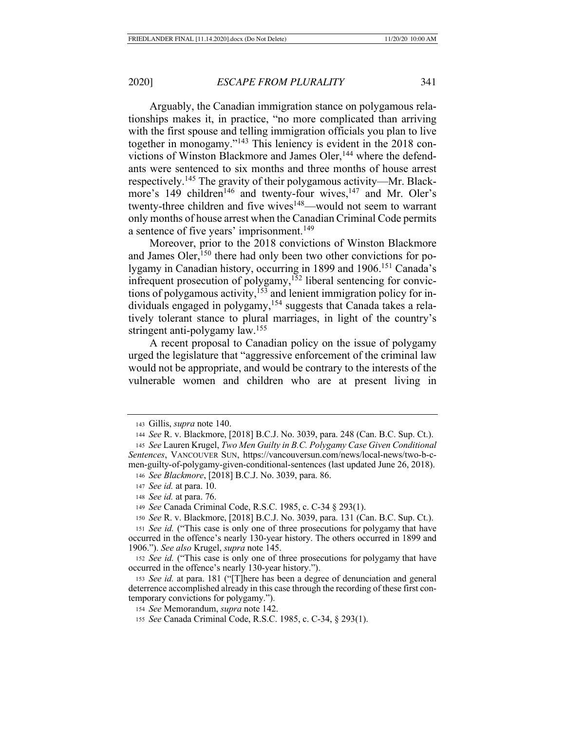Arguably, the Canadian immigration stance on polygamous relationships makes it, in practice, "no more complicated than arriving with the first spouse and telling immigration officials you plan to live together in monogamy."143 This leniency is evident in the 2018 convictions of Winston Blackmore and James Oler,<sup>144</sup> where the defendants were sentenced to six months and three months of house arrest respectively.145 The gravity of their polygamous activity—Mr. Blackmore's 149 children<sup>146</sup> and twenty-four wives,<sup>147</sup> and Mr. Oler's twenty-three children and five wives<sup>148</sup>—would not seem to warrant only months of house arrest when the Canadian Criminal Code permits a sentence of five years' imprisonment.<sup>149</sup>

Moreover, prior to the 2018 convictions of Winston Blackmore and James Oler, $150$  there had only been two other convictions for polygamy in Canadian history, occurring in 1899 and 1906.151 Canada's infrequent prosecution of polygamy,<sup>152</sup> liberal sentencing for convictions of polygamous activity,<sup>153</sup> and lenient immigration policy for individuals engaged in polygamy,<sup>154</sup> suggests that Canada takes a relatively tolerant stance to plural marriages, in light of the country's stringent anti-polygamy law.155

A recent proposal to Canadian policy on the issue of polygamy urged the legislature that "aggressive enforcement of the criminal law would not be appropriate, and would be contrary to the interests of the vulnerable women and children who are at present living in

<sup>143</sup> Gillis, *supra* note 140.

<sup>144</sup> *See* R. v. Blackmore, [2018] B.C.J. No. 3039, para. 248 (Can. B.C. Sup. Ct.).

<sup>145</sup> *See* Lauren Krugel, *Two Men Guilty in B.C. Polygamy Case Given Conditional Sentences*, VANCOUVER SUN, https://vancouversun.com/news/local-news/two-b-cmen-guilty-of-polygamy-given-conditional-sentences (last updated June 26, 2018). <sup>146</sup> *See Blackmore*, [2018] B.C.J. No. 3039, para. 86.

<sup>147</sup> *See id.* at para. 10.

<sup>148</sup> *See id.* at para. 76.

<sup>149</sup> *See* Canada Criminal Code, R.S.C. 1985, c. C-34 § 293(1).

<sup>150</sup> *See* R. v. Blackmore, [2018] B.C.J. No. 3039, para. 131 (Can. B.C. Sup. Ct.).

<sup>151</sup> *See id.* ("This case is only one of three prosecutions for polygamy that have occurred in the offence's nearly 130-year history. The others occurred in 1899 and 1906."). *See also* Krugel, *supra* note 145.

<sup>152</sup> *See id.* ("This case is only one of three prosecutions for polygamy that have occurred in the offence's nearly 130-year history.").

<sup>153</sup> *See id.* at para. 181 ("[T]here has been a degree of denunciation and general deterrence accomplished already in this case through the recording of these first contemporary convictions for polygamy.").

<sup>154</sup> *See* Memorandum, *supra* note 142.

<sup>155</sup> *See* Canada Criminal Code, R.S.C. 1985, c. C-34, § 293(1).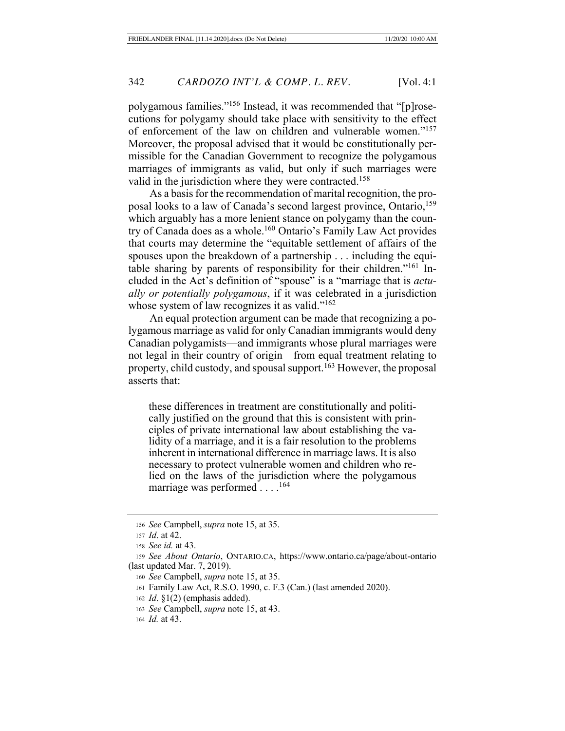polygamous families."156 Instead, it was recommended that "[p]rosecutions for polygamy should take place with sensitivity to the effect of enforcement of the law on children and vulnerable women."157 Moreover, the proposal advised that it would be constitutionally permissible for the Canadian Government to recognize the polygamous marriages of immigrants as valid, but only if such marriages were valid in the jurisdiction where they were contracted.<sup>158</sup>

As a basis for the recommendation of marital recognition, the proposal looks to a law of Canada's second largest province, Ontario, 159 which arguably has a more lenient stance on polygamy than the country of Canada does as a whole.160 Ontario's Family Law Act provides that courts may determine the "equitable settlement of affairs of the spouses upon the breakdown of a partnership . . . including the equitable sharing by parents of responsibility for their children."161 Included in the Act's definition of "spouse" is a "marriage that is *actually or potentially polygamous*, if it was celebrated in a jurisdiction whose system of law recognizes it as valid."<sup>162</sup>

An equal protection argument can be made that recognizing a polygamous marriage as valid for only Canadian immigrants would deny Canadian polygamists—and immigrants whose plural marriages were not legal in their country of origin—from equal treatment relating to property, child custody, and spousal support.<sup>163</sup> However, the proposal asserts that:

these differences in treatment are constitutionally and politically justified on the ground that this is consistent with principles of private international law about establishing the validity of a marriage, and it is a fair resolution to the problems inherent in international difference in marriage laws. It is also necessary to protect vulnerable women and children who relied on the laws of the jurisdiction where the polygamous marriage was performed  $\dots$ <sup>164</sup>

<sup>156</sup> *See* Campbell, *supra* note 15, at 35.

<sup>157</sup> *Id*. at 42.

<sup>158</sup> *See id.* at 43.

<sup>159</sup> *See About Ontario*, ONTARIO.CA, https://www.ontario.ca/page/about-ontario (last updated Mar. 7, 2019).

<sup>160</sup> *See* Campbell, *supra* note 15, at 35.

<sup>161</sup> Family Law Act, R.S.O. 1990, c. F.3 (Can.) (last amended 2020).

<sup>162</sup> *Id*. §1(2) (emphasis added).

<sup>163</sup> *See* Campbell, *supra* note 15, at 43.

<sup>164</sup> *Id.* at 43.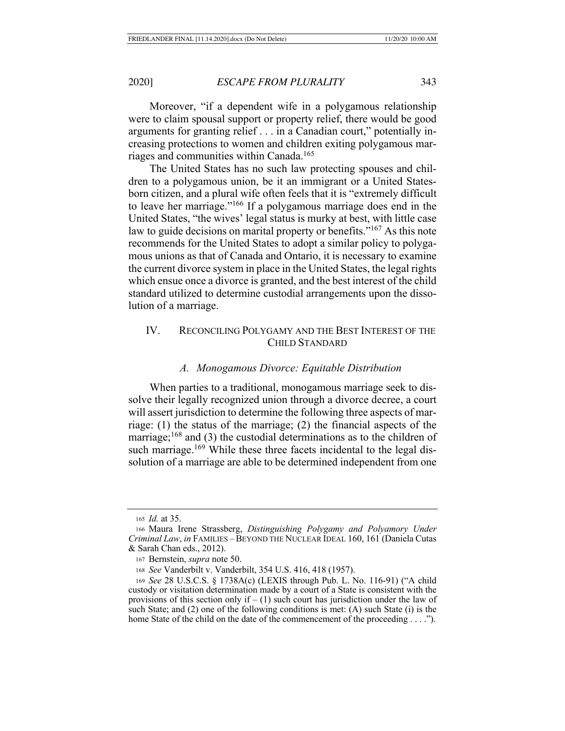Moreover, "if a dependent wife in a polygamous relationship were to claim spousal support or property relief, there would be good arguments for granting relief . . . in a Canadian court," potentially increasing protections to women and children exiting polygamous marriages and communities within Canada.165

The United States has no such law protecting spouses and children to a polygamous union, be it an immigrant or a United Statesborn citizen, and a plural wife often feels that it is "extremely difficult to leave her marriage."166 If a polygamous marriage does end in the United States, "the wives' legal status is murky at best, with little case law to guide decisions on marital property or benefits."<sup>167</sup> As this note recommends for the United States to adopt a similar policy to polygamous unions as that of Canada and Ontario, it is necessary to examine the current divorce system in place in the United States, the legal rights which ensue once a divorce is granted, and the best interest of the child standard utilized to determine custodial arrangements upon the dissolution of a marriage.

## IV. RECONCILING POLYGAMY AND THE BEST INTEREST OF THE CHILD STANDARD

#### *A. Monogamous Divorce: Equitable Distribution*

When parties to a traditional, monogamous marriage seek to dissolve their legally recognized union through a divorce decree, a court will assert jurisdiction to determine the following three aspects of marriage: (1) the status of the marriage; (2) the financial aspects of the marriage;<sup>168</sup> and (3) the custodial determinations as to the children of such marriage.<sup>169</sup> While these three facets incidental to the legal dissolution of a marriage are able to be determined independent from one

<sup>165</sup> *Id.* at 35.

<sup>166</sup> Maura Irene Strassberg, *Distinguishing Polygamy and Polyamory Under Criminal Law*, *in* FAMILIES –BEYOND THE NUCLEAR IDEAL 160, 161 (Daniela Cutas & Sarah Chan eds., 2012).

<sup>167</sup> Bernstein, *supra* note 50.

<sup>168</sup> *See* Vanderbilt v. Vanderbilt, 354 U.S. 416, 418 (1957).

<sup>169</sup> *See* 28 U.S.C.S. § 1738A(c) (LEXIS through Pub. L. No. 116-91) ("A child custody or visitation determination made by a court of a State is consistent with the provisions of this section only if  $- (1)$  such court has jurisdiction under the law of such State; and (2) one of the following conditions is met: (A) such State (i) is the home State of the child on the date of the commencement of the proceeding . . . .").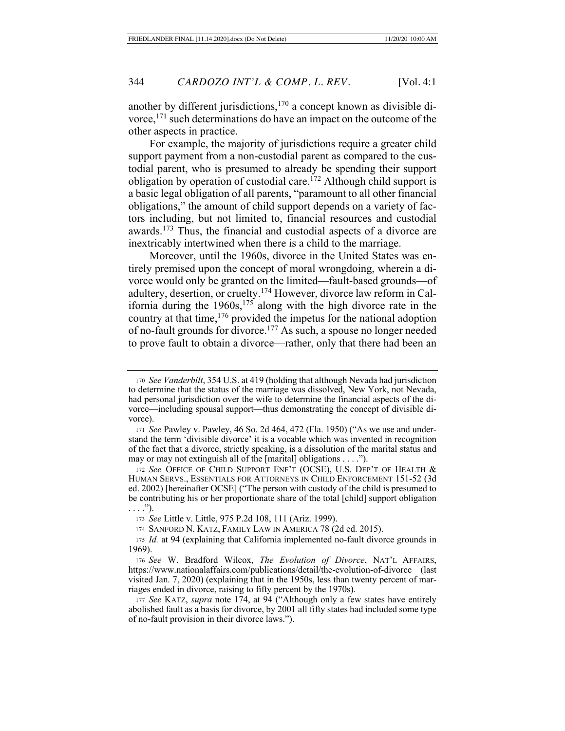another by different jurisdictions,<sup>170</sup> a concept known as divisible divorce,171 such determinations do have an impact on the outcome of the other aspects in practice.

For example, the majority of jurisdictions require a greater child support payment from a non-custodial parent as compared to the custodial parent, who is presumed to already be spending their support obligation by operation of custodial care.<sup>172</sup> Although child support is a basic legal obligation of all parents, "paramount to all other financial obligations," the amount of child support depends on a variety of factors including, but not limited to, financial resources and custodial awards.173 Thus, the financial and custodial aspects of a divorce are inextricably intertwined when there is a child to the marriage.

Moreover, until the 1960s, divorce in the United States was entirely premised upon the concept of moral wrongdoing, wherein a divorce would only be granted on the limited—fault-based grounds—of adultery, desertion, or cruelty.174 However, divorce law reform in California during the 1960s,175 along with the high divorce rate in the country at that time,176 provided the impetus for the national adoption of no-fault grounds for divorce.177 As such, a spouse no longer needed to prove fault to obtain a divorce—rather, only that there had been an

<sup>171</sup> *See* Pawley v. Pawley, 46 So. 2d 464, 472 (Fla. 1950) ("As we use and understand the term 'divisible divorce' it is a vocable which was invented in recognition of the fact that a divorce, strictly speaking, is a dissolution of the marital status and may or may not extinguish all of the [marital] obligations . . . .").

<sup>172</sup> *See* OFFICE OF CHILD SUPPORT ENF'T (OCSE), U.S. DEP'T OF HEALTH & HUMAN SERVS., ESSENTIALS FOR ATTORNEYS IN CHILD ENFORCEMENT 151-52 (3d ed. 2002) [hereinafter OCSE] ("The person with custody of the child is presumed to be contributing his or her proportionate share of the total [child] support obligation  $\ldots$ .").

<sup>173</sup> *See* Little v. Little, 975 P.2d 108, 111 (Ariz. 1999).

174 SANFORD N. KATZ, FAMILY LAW IN AMERICA 78 (2d ed. 2015).

<sup>175</sup> *Id.* at 94 (explaining that California implemented no-fault divorce grounds in 1969).

<sup>176</sup> *See* W. Bradford Wilcox, *The Evolution of Divorce*, NAT'L AFFAIRS, https://www.nationalaffairs.com/publications/detail/the-evolution-of-divorce (last visited Jan. 7, 2020) (explaining that in the 1950s, less than twenty percent of marriages ended in divorce, raising to fifty percent by the 1970s).

<sup>177</sup> *See* KATZ, *supra* note 174, at 94 ("Although only a few states have entirely abolished fault as a basis for divorce, by 2001 all fifty states had included some type of no-fault provision in their divorce laws.").

<sup>170</sup> *See Vanderbilt*, 354 U.S. at 419 (holding that although Nevada had jurisdiction to determine that the status of the marriage was dissolved, New York, not Nevada, had personal jurisdiction over the wife to determine the financial aspects of the divorce—including spousal support—thus demonstrating the concept of divisible divorce).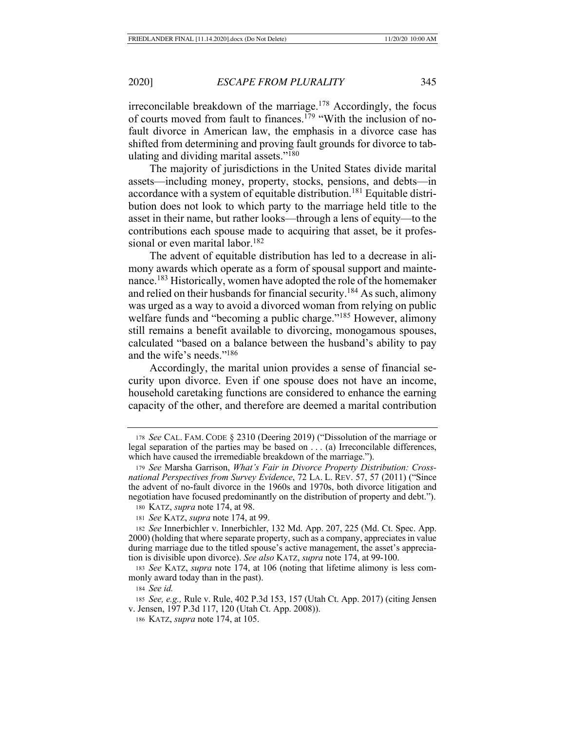irreconcilable breakdown of the marriage.178 Accordingly, the focus of courts moved from fault to finances.<sup>179</sup> "With the inclusion of nofault divorce in American law, the emphasis in a divorce case has shifted from determining and proving fault grounds for divorce to tabulating and dividing marital assets."180

The majority of jurisdictions in the United States divide marital assets—including money, property, stocks, pensions, and debts—in accordance with a system of equitable distribution.<sup>181</sup> Equitable distribution does not look to which party to the marriage held title to the asset in their name, but rather looks—through a lens of equity—to the contributions each spouse made to acquiring that asset, be it professional or even marital labor.<sup>182</sup>

The advent of equitable distribution has led to a decrease in alimony awards which operate as a form of spousal support and maintenance.183 Historically, women have adopted the role of the homemaker and relied on their husbands for financial security.184 As such, alimony was urged as a way to avoid a divorced woman from relying on public welfare funds and "becoming a public charge."<sup>185</sup> However, alimony still remains a benefit available to divorcing, monogamous spouses, calculated "based on a balance between the husband's ability to pay and the wife's needs."186

Accordingly, the marital union provides a sense of financial security upon divorce. Even if one spouse does not have an income, household caretaking functions are considered to enhance the earning capacity of the other, and therefore are deemed a marital contribution

<sup>178</sup> *See* CAL. FAM. CODE § 2310 (Deering 2019) ("Dissolution of the marriage or legal separation of the parties may be based on  $\dots$  (a) Irreconcilable differences, which have caused the irremediable breakdown of the marriage.").

<sup>179</sup> *See* Marsha Garrison, *What's Fair in Divorce Property Distribution: Crossnational Perspectives from Survey Evidence*, 72 LA. L. REV. 57, 57 (2011) ("Since the advent of no-fault divorce in the 1960s and 1970s, both divorce litigation and negotiation have focused predominantly on the distribution of property and debt.").

<sup>180</sup> KATZ, *supra* note 174, at 98.

<sup>181</sup> *See* KATZ, *supra* note 174, at 99.

<sup>182</sup> *See* Innerbichler v. Innerbichler, 132 Md. App. 207, 225 (Md. Ct. Spec. App. 2000) (holding that where separate property, such as a company, appreciates in value during marriage due to the titled spouse's active management, the asset's appreciation is divisible upon divorce). *See also* KATZ, *supra* note 174, at 99-100.

<sup>183</sup> *See* KATZ, *supra* note 174, at 106 (noting that lifetime alimony is less commonly award today than in the past).

<sup>184</sup> *See id.*

<sup>185</sup> *See, e.g.,* Rule v. Rule, 402 P.3d 153, 157 (Utah Ct. App. 2017) (citing Jensen v. Jensen, 197 P.3d 117, 120 (Utah Ct. App. 2008)).

<sup>186</sup> KATZ, *supra* note 174, at 105.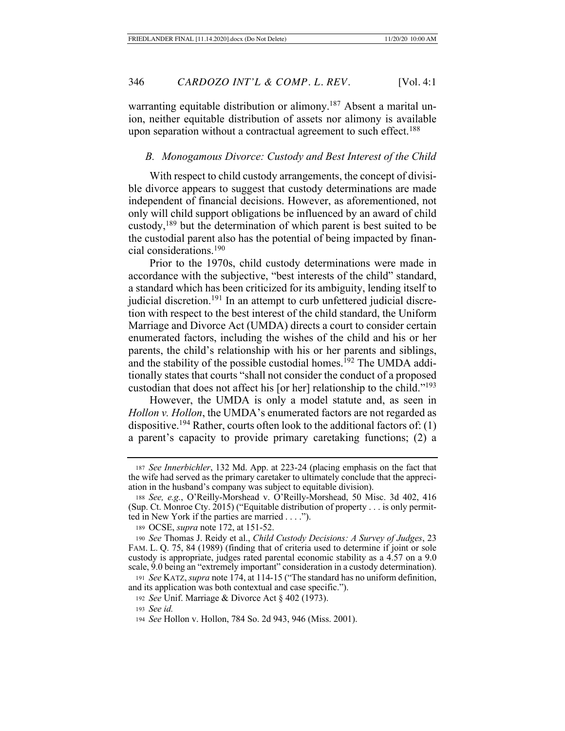warranting equitable distribution or alimony.<sup>187</sup> Absent a marital union, neither equitable distribution of assets nor alimony is available upon separation without a contractual agreement to such effect.<sup>188</sup>

#### *B. Monogamous Divorce: Custody and Best Interest of the Child*

With respect to child custody arrangements, the concept of divisible divorce appears to suggest that custody determinations are made independent of financial decisions. However, as aforementioned, not only will child support obligations be influenced by an award of child custody, $189$  but the determination of which parent is best suited to be the custodial parent also has the potential of being impacted by financial considerations.190

Prior to the 1970s, child custody determinations were made in accordance with the subjective, "best interests of the child" standard, a standard which has been criticized for its ambiguity, lending itself to judicial discretion.<sup>191</sup> In an attempt to curb unfettered judicial discretion with respect to the best interest of the child standard, the Uniform Marriage and Divorce Act (UMDA) directs a court to consider certain enumerated factors, including the wishes of the child and his or her parents, the child's relationship with his or her parents and siblings, and the stability of the possible custodial homes.<sup>192</sup> The UMDA additionally states that courts "shall not consider the conduct of a proposed custodian that does not affect his [or her] relationship to the child."193

However, the UMDA is only a model statute and, as seen in *Hollon v. Hollon*, the UMDA's enumerated factors are not regarded as dispositive.<sup>194</sup> Rather, courts often look to the additional factors of: (1) a parent's capacity to provide primary caretaking functions; (2) a

<sup>187</sup> *See Innerbichler*, 132 Md. App. at 223-24 (placing emphasis on the fact that the wife had served as the primary caretaker to ultimately conclude that the appreciation in the husband's company was subject to equitable division).

<sup>188</sup> *See, e.g.*, O'Reilly-Morshead v. O'Reilly-Morshead, 50 Misc. 3d 402, 416 (Sup. Ct. Monroe Cty. 2015) ("Equitable distribution of property . . . is only permitted in New York if the parties are married . . . .").

<sup>189</sup> OCSE, *supra* note 172, at 151-52.

<sup>190</sup> *See* Thomas J. Reidy et al., *Child Custody Decisions: A Survey of Judges*, 23 FAM. L. Q. 75, 84 (1989) (finding that of criteria used to determine if joint or sole custody is appropriate, judges rated parental economic stability as a 4.57 on a 9.0 scale, 9.0 being an "extremely important" consideration in a custody determination).

<sup>191</sup> *See* KATZ, *supra* note 174, at 114-15 ("The standard has no uniform definition, and its application was both contextual and case specific.").

<sup>192</sup> *See* Unif. Marriage & Divorce Act § 402 (1973).

<sup>193</sup> *See id.*

<sup>194</sup> *See* Hollon v. Hollon, 784 So. 2d 943, 946 (Miss. 2001).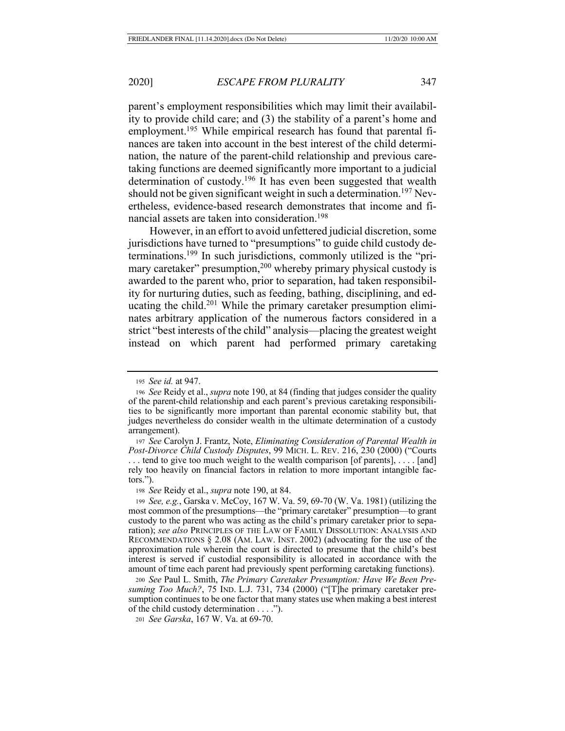parent's employment responsibilities which may limit their availability to provide child care; and (3) the stability of a parent's home and employment.<sup>195</sup> While empirical research has found that parental finances are taken into account in the best interest of the child determination, the nature of the parent-child relationship and previous caretaking functions are deemed significantly more important to a judicial determination of custody.196 It has even been suggested that wealth should not be given significant weight in such a determination.<sup>197</sup> Nevertheless, evidence-based research demonstrates that income and financial assets are taken into consideration.<sup>198</sup>

However, in an effort to avoid unfettered judicial discretion, some jurisdictions have turned to "presumptions" to guide child custody determinations.199 In such jurisdictions, commonly utilized is the "primary caretaker" presumption,<sup>200</sup> whereby primary physical custody is awarded to the parent who, prior to separation, had taken responsibility for nurturing duties, such as feeding, bathing, disciplining, and educating the child.201 While the primary caretaker presumption eliminates arbitrary application of the numerous factors considered in a strict "best interests of the child" analysis—placing the greatest weight instead on which parent had performed primary caretaking

<sup>197</sup> *See* Carolyn J. Frantz, Note, *Eliminating Consideration of Parental Wealth in Post-Divorce Child Custody Disputes*, 99 MICH. L. REV. 216, 230 (2000) ("Courts ... tend to give too much weight to the wealth comparison [of parents], .... [and] rely too heavily on financial factors in relation to more important intangible factors.").

<sup>198</sup> *See* Reidy et al., *supra* note 190, at 84.

<sup>199</sup> *See, e.g.*, Garska v. McCoy, 167 W. Va. 59, 69-70 (W. Va. 1981) (utilizing the most common of the presumptions—the "primary caretaker" presumption—to grant custody to the parent who was acting as the child's primary caretaker prior to separation); *see also* PRINCIPLES OF THE LAW OF FAMILY DISSOLUTION: ANALYSIS AND RECOMMENDATIONS § 2.08 (AM. LAW. INST. 2002) (advocating for the use of the approximation rule wherein the court is directed to presume that the child's best interest is served if custodial responsibility is allocated in accordance with the amount of time each parent had previously spent performing caretaking functions).

<sup>200</sup> *See* Paul L. Smith, *The Primary Caretaker Presumption: Have We Been Presuming Too Much?*, 75 IND. L.J. 731, 734 (2000) ("[T]he primary caretaker presumption continues to be one factor that many states use when making a best interest of the child custody determination . . . .").

<sup>201</sup> *See Garska*, 167 W. Va. at 69-70.

<sup>195</sup> *See id.* at 947.

<sup>196</sup> *See* Reidy et al., *supra* note 190, at 84 (finding that judges consider the quality of the parent-child relationship and each parent's previous caretaking responsibilities to be significantly more important than parental economic stability but, that judges nevertheless do consider wealth in the ultimate determination of a custody arrangement).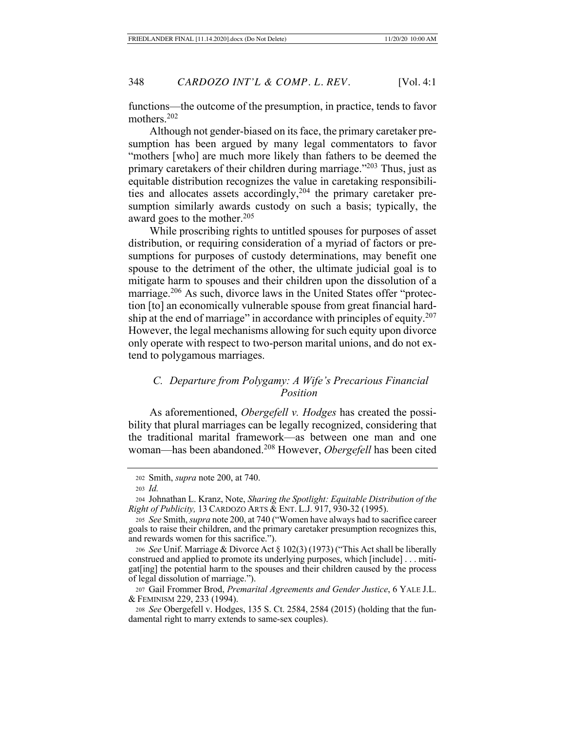functions—the outcome of the presumption, in practice, tends to favor mothers.202

Although not gender-biased on its face, the primary caretaker presumption has been argued by many legal commentators to favor "mothers [who] are much more likely than fathers to be deemed the primary caretakers of their children during marriage."203 Thus, just as equitable distribution recognizes the value in caretaking responsibilities and allocates assets accordingly,204 the primary caretaker presumption similarly awards custody on such a basis; typically, the award goes to the mother.<sup>205</sup>

While proscribing rights to untitled spouses for purposes of asset distribution, or requiring consideration of a myriad of factors or presumptions for purposes of custody determinations, may benefit one spouse to the detriment of the other, the ultimate judicial goal is to mitigate harm to spouses and their children upon the dissolution of a marriage.<sup>206</sup> As such, divorce laws in the United States offer "protection [to] an economically vulnerable spouse from great financial hardship at the end of marriage" in accordance with principles of equity.<sup>207</sup> However, the legal mechanisms allowing for such equity upon divorce only operate with respect to two-person marital unions, and do not extend to polygamous marriages.

# *C. Departure from Polygamy: A Wife's Precarious Financial Position*

As aforementioned, *Obergefell v. Hodges* has created the possibility that plural marriages can be legally recognized, considering that the traditional marital framework—as between one man and one woman—has been abandoned.208 However, *Obergefell* has been cited

<sup>208</sup> *See* Obergefell v. Hodges, 135 S. Ct. 2584, 2584 (2015) (holding that the fundamental right to marry extends to same-sex couples).

<sup>202</sup> Smith, *supra* note 200, at 740.

<sup>203</sup> *Id.*

<sup>204</sup> Johnathan L. Kranz, Note, *Sharing the Spotlight: Equitable Distribution of the Right of Publicity,* 13 CARDOZO ARTS & ENT. L.J. 917, 930-32 (1995).

<sup>205</sup> *See* Smith, *supra* note 200, at 740 ("Women have always had to sacrifice career goals to raise their children, and the primary caretaker presumption recognizes this, and rewards women for this sacrifice.").

<sup>206</sup> *See* Unif. Marriage & Divorce Act § 102(3) (1973) ("This Act shall be liberally construed and applied to promote its underlying purposes, which [include] . . . mitigat[ing] the potential harm to the spouses and their children caused by the process of legal dissolution of marriage.").

<sup>207</sup> Gail Frommer Brod, *Premarital Agreements and Gender Justice*, 6 YALE J.L. & FEMINISM 229, 233 (1994).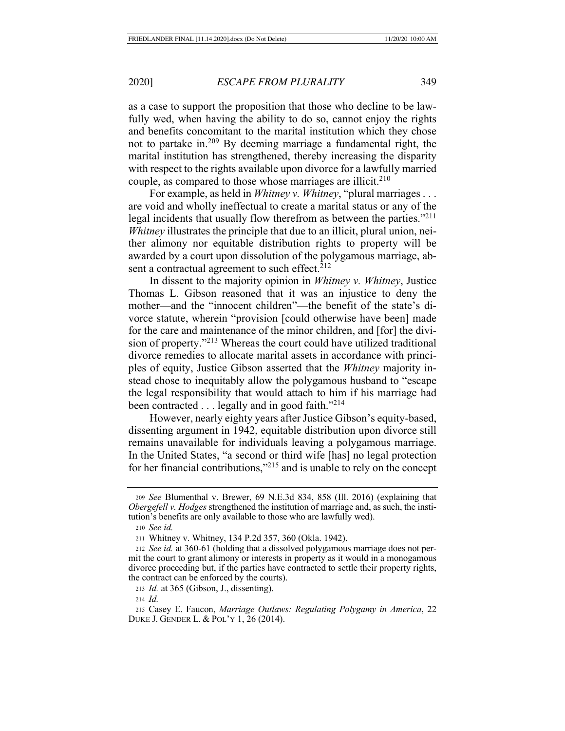as a case to support the proposition that those who decline to be lawfully wed, when having the ability to do so, cannot enjoy the rights and benefits concomitant to the marital institution which they chose not to partake in.209 By deeming marriage a fundamental right, the marital institution has strengthened, thereby increasing the disparity with respect to the rights available upon divorce for a lawfully married couple, as compared to those whose marriages are illicit.<sup>210</sup>

For example, as held in *Whitney v. Whitney*, "plural marriages . . . are void and wholly ineffectual to create a marital status or any of the legal incidents that usually flow therefrom as between the parties."211 *Whitney* illustrates the principle that due to an illicit, plural union, neither alimony nor equitable distribution rights to property will be awarded by a court upon dissolution of the polygamous marriage, absent a contractual agreement to such effect. $212$ 

In dissent to the majority opinion in *Whitney v. Whitney*, Justice Thomas L. Gibson reasoned that it was an injustice to deny the mother—and the "innocent children"—the benefit of the state's divorce statute, wherein "provision [could otherwise have been] made for the care and maintenance of the minor children, and [for] the division of property."213 Whereas the court could have utilized traditional divorce remedies to allocate marital assets in accordance with principles of equity, Justice Gibson asserted that the *Whitney* majority instead chose to inequitably allow the polygamous husband to "escape the legal responsibility that would attach to him if his marriage had been contracted . . . legally and in good faith."<sup>214</sup>

However, nearly eighty years after Justice Gibson's equity-based, dissenting argument in 1942, equitable distribution upon divorce still remains unavailable for individuals leaving a polygamous marriage. In the United States, "a second or third wife [has] no legal protection for her financial contributions,"215 and is unable to rely on the concept

<sup>210</sup> *See id.*

<sup>213</sup> *Id.* at 365 (Gibson, J., dissenting).

<sup>209</sup> *See* Blumenthal v. Brewer, 69 N.E.3d 834, 858 (Ill. 2016) (explaining that *Obergefell v. Hodges* strengthened the institution of marriage and, as such, the institution's benefits are only available to those who are lawfully wed).

<sup>211</sup> Whitney v. Whitney, 134 P.2d 357, 360 (Okla. 1942).

<sup>212</sup> *See id.* at 360-61 (holding that a dissolved polygamous marriage does not permit the court to grant alimony or interests in property as it would in a monogamous divorce proceeding but, if the parties have contracted to settle their property rights, the contract can be enforced by the courts).

<sup>214</sup> *Id.*

<sup>215</sup> Casey E. Faucon, *Marriage Outlaws: Regulating Polygamy in America*, 22 DUKE J. GENDER L. & POL'Y 1, 26 (2014).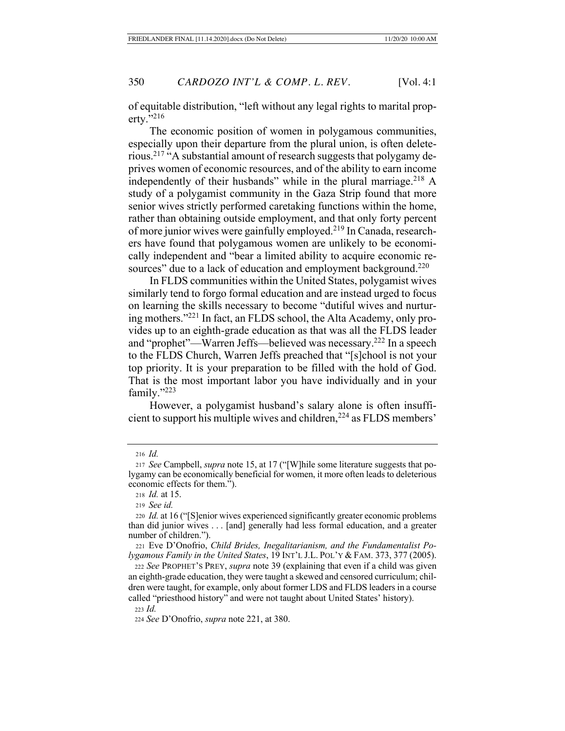of equitable distribution, "left without any legal rights to marital property."216

The economic position of women in polygamous communities, especially upon their departure from the plural union, is often deleterious.217 "A substantial amount of research suggests that polygamy deprives women of economic resources, and of the ability to earn income independently of their husbands" while in the plural marriage.218 A study of a polygamist community in the Gaza Strip found that more senior wives strictly performed caretaking functions within the home, rather than obtaining outside employment, and that only forty percent of more junior wives were gainfully employed.219 In Canada, researchers have found that polygamous women are unlikely to be economically independent and "bear a limited ability to acquire economic resources" due to a lack of education and employment background.<sup>220</sup>

In FLDS communities within the United States, polygamist wives similarly tend to forgo formal education and are instead urged to focus on learning the skills necessary to become "dutiful wives and nurturing mothers."221 In fact, an FLDS school, the Alta Academy, only provides up to an eighth-grade education as that was all the FLDS leader and "prophet"—Warren Jeffs—believed was necessary.222 In a speech to the FLDS Church, Warren Jeffs preached that "[s]chool is not your top priority. It is your preparation to be filled with the hold of God. That is the most important labor you have individually and in your family."223

However, a polygamist husband's salary alone is often insufficient to support his multiple wives and children,<sup>224</sup> as FLDS members'

<sup>218</sup> *Id.* at 15.

<sup>219</sup> *See id.*

<sup>223</sup> *Id.*

<sup>216</sup> *Id.*

<sup>217</sup> *See* Campbell, *supra* note 15, at 17 ("[W]hile some literature suggests that polygamy can be economically beneficial for women, it more often leads to deleterious economic effects for them.").

<sup>220</sup> *Id.* at 16 ("[S]enior wives experienced significantly greater economic problems than did junior wives . . . [and] generally had less formal education, and a greater number of children.").

<sup>221</sup> Eve D'Onofrio, *Child Brides, Inegalitarianism, and the Fundamentalist Polygamous Family in the United States*, 19 INT'L J.L. POL'Y & FAM. 373, 377 (2005).

<sup>222</sup> *See* PROPHET'S PREY, *supra* note 39 (explaining that even if a child was given an eighth-grade education, they were taught a skewed and censored curriculum; children were taught, for example, only about former LDS and FLDS leaders in a course called "priesthood history" and were not taught about United States' history).

<sup>224</sup> *See* D'Onofrio, *supra* note 221, at 380.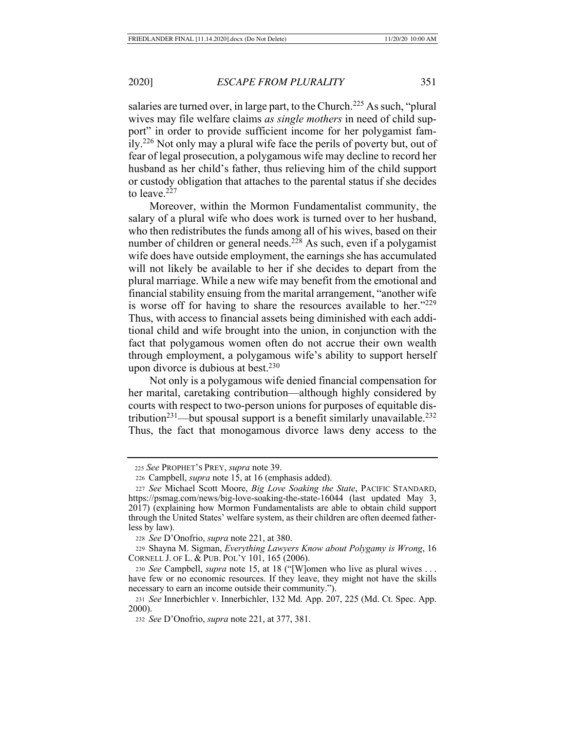salaries are turned over, in large part, to the Church.<sup>225</sup> As such, "plural" wives may file welfare claims *as single mothers* in need of child support" in order to provide sufficient income for her polygamist family.226 Not only may a plural wife face the perils of poverty but, out of fear of legal prosecution, a polygamous wife may decline to record her husband as her child's father, thus relieving him of the child support or custody obligation that attaches to the parental status if she decides to leave.<sup>227</sup>

Moreover, within the Mormon Fundamentalist community, the salary of a plural wife who does work is turned over to her husband, who then redistributes the funds among all of his wives, based on their number of children or general needs.<sup>228</sup> As such, even if a polygamist wife does have outside employment, the earnings she has accumulated will not likely be available to her if she decides to depart from the plural marriage. While a new wife may benefit from the emotional and financial stability ensuing from the marital arrangement, "another wife is worse off for having to share the resources available to her."229 Thus, with access to financial assets being diminished with each additional child and wife brought into the union, in conjunction with the fact that polygamous women often do not accrue their own wealth through employment, a polygamous wife's ability to support herself upon divorce is dubious at best.<sup>230</sup>

Not only is a polygamous wife denied financial compensation for her marital, caretaking contribution—although highly considered by courts with respect to two-person unions for purposes of equitable distribution<sup>231</sup>—but spousal support is a benefit similarly unavailable.<sup>232</sup> Thus, the fact that monogamous divorce laws deny access to the

<sup>225</sup> *See* PROPHET'S PREY, *supra* note 39.

<sup>226</sup> Campbell, *supra* note 15, at 16 (emphasis added).

<sup>227</sup> *See* Michael Scott Moore, *Big Love Soaking the State*, PACIFIC STANDARD, https://psmag.com/news/big-love-soaking-the-state-16044 (last updated May 3, 2017) (explaining how Mormon Fundamentalists are able to obtain child support through the United States' welfare system, as their children are often deemed fatherless by law).

<sup>228</sup> *See* D'Onofrio, *supra* note 221, at 380.

<sup>229</sup> Shayna M. Sigman, *Everything Lawyers Know about Polygamy is Wrong*, 16 CORNELL J. OF L. & PUB. POL'Y 101, 165 (2006).

<sup>230</sup> *See* Campbell, *supra* note 15, at 18 ("[W]omen who live as plural wives . . . have few or no economic resources. If they leave, they might not have the skills necessary to earn an income outside their community.").

<sup>231</sup> *See* Innerbichler v. Innerbichler, 132 Md. App. 207, 225 (Md. Ct. Spec. App. 2000).

<sup>232</sup> *See* D'Onofrio, *supra* note 221, at 377, 381.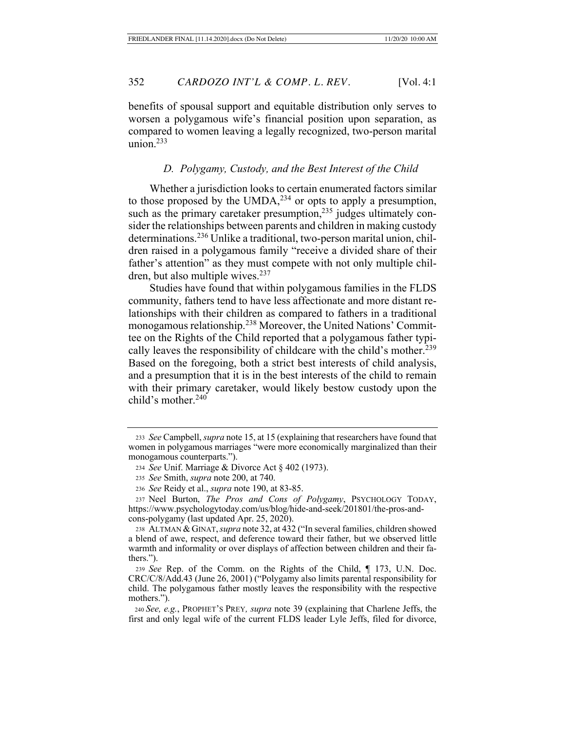benefits of spousal support and equitable distribution only serves to worsen a polygamous wife's financial position upon separation, as compared to women leaving a legally recognized, two-person marital union.233

## *D. Polygamy, Custody, and the Best Interest of the Child*

Whether a jurisdiction looks to certain enumerated factors similar to those proposed by the UMDA, $^{234}$  or opts to apply a presumption, such as the primary caretaker presumption, $235$  judges ultimately consider the relationships between parents and children in making custody determinations.<sup>236</sup> Unlike a traditional, two-person marital union, children raised in a polygamous family "receive a divided share of their father's attention" as they must compete with not only multiple children, but also multiple wives.<sup>237</sup>

Studies have found that within polygamous families in the FLDS community, fathers tend to have less affectionate and more distant relationships with their children as compared to fathers in a traditional monogamous relationship.238 Moreover, the United Nations' Committee on the Rights of the Child reported that a polygamous father typically leaves the responsibility of childcare with the child's mother.<sup>239</sup> Based on the foregoing, both a strict best interests of child analysis, and a presumption that it is in the best interests of the child to remain with their primary caretaker, would likely bestow custody upon the child's mother.240

<sup>233</sup> *See* Campbell, *supra* note 15, at 15 (explaining that researchers have found that women in polygamous marriages "were more economically marginalized than their monogamous counterparts.").

<sup>234</sup> *See* Unif. Marriage & Divorce Act § 402 (1973).

<sup>235</sup> *See* Smith, *supra* note 200, at 740.

<sup>236</sup> *See* Reidy et al., *supra* note 190, at 83-85.

<sup>237</sup> Neel Burton, *The Pros and Cons of Polygamy*, PSYCHOLOGY TODAY, https://www.psychologytoday.com/us/blog/hide-and-seek/201801/the-pros-andcons-polygamy (last updated Apr. 25, 2020).

<sup>238</sup> ALTMAN &GINAT,*supra* note 32, at 432 ("In several families, children showed a blend of awe, respect, and deference toward their father, but we observed little warmth and informality or over displays of affection between children and their fathers.").

<sup>239</sup> *See* Rep. of the Comm. on the Rights of the Child, ¶ 173, U.N. Doc. CRC/C/8/Add.43 (June 26, 2001) ("Polygamy also limits parental responsibility for child. The polygamous father mostly leaves the responsibility with the respective mothers.").

 <sup>240</sup> *See, e.g.*, PROPHET'S PREY*, supra* note 39 (explaining that Charlene Jeffs, the first and only legal wife of the current FLDS leader Lyle Jeffs, filed for divorce,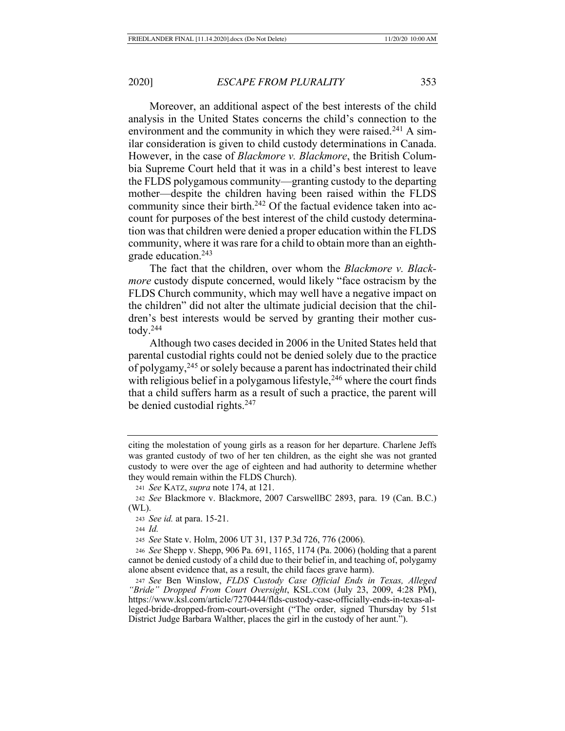Moreover, an additional aspect of the best interests of the child analysis in the United States concerns the child's connection to the environment and the community in which they were raised.<sup>241</sup> A similar consideration is given to child custody determinations in Canada. However, in the case of *Blackmore v. Blackmore*, the British Columbia Supreme Court held that it was in a child's best interest to leave the FLDS polygamous community—granting custody to the departing mother—despite the children having been raised within the FLDS community since their birth.<sup>242</sup> Of the factual evidence taken into account for purposes of the best interest of the child custody determination was that children were denied a proper education within the FLDS community, where it was rare for a child to obtain more than an eighthgrade education.243

The fact that the children, over whom the *Blackmore v. Blackmore* custody dispute concerned, would likely "face ostracism by the FLDS Church community, which may well have a negative impact on the children" did not alter the ultimate judicial decision that the children's best interests would be served by granting their mother custody. $244$ 

Although two cases decided in 2006 in the United States held that parental custodial rights could not be denied solely due to the practice of polygamy,245 or solely because a parent has indoctrinated their child with religious belief in a polygamous lifestyle,  $246$  where the court finds that a child suffers harm as a result of such a practice, the parent will be denied custodial rights.247

<sup>244</sup> *Id.*

<sup>245</sup> *See* State v. Holm, 2006 UT 31, 137 P.3d 726, 776 (2006).

<sup>246</sup> *See* Shepp v. Shepp, 906 Pa. 691, 1165, 1174 (Pa. 2006) (holding that a parent cannot be denied custody of a child due to their belief in, and teaching of, polygamy alone absent evidence that, as a result, the child faces grave harm).

citing the molestation of young girls as a reason for her departure. Charlene Jeffs was granted custody of two of her ten children, as the eight she was not granted custody to were over the age of eighteen and had authority to determine whether they would remain within the FLDS Church).

<sup>241</sup> *See* KATZ, *supra* note 174, at 121.

<sup>242</sup> *See* Blackmore v. Blackmore, 2007 CarswellBC 2893, para. 19 (Can. B.C.) (WL).

<sup>243</sup> *See id.* at para. 15-21.

<sup>247</sup> *See* Ben Winslow, *FLDS Custody Case Official Ends in Texas, Alleged "Bride" Dropped From Court Oversight*, KSL.COM (July 23, 2009, 4:28 PM), https://www.ksl.com/article/7270444/flds-custody-case-officially-ends-in-texas-alleged-bride-dropped-from-court-oversight ("The order, signed Thursday by 51st District Judge Barbara Walther, places the girl in the custody of her aunt.").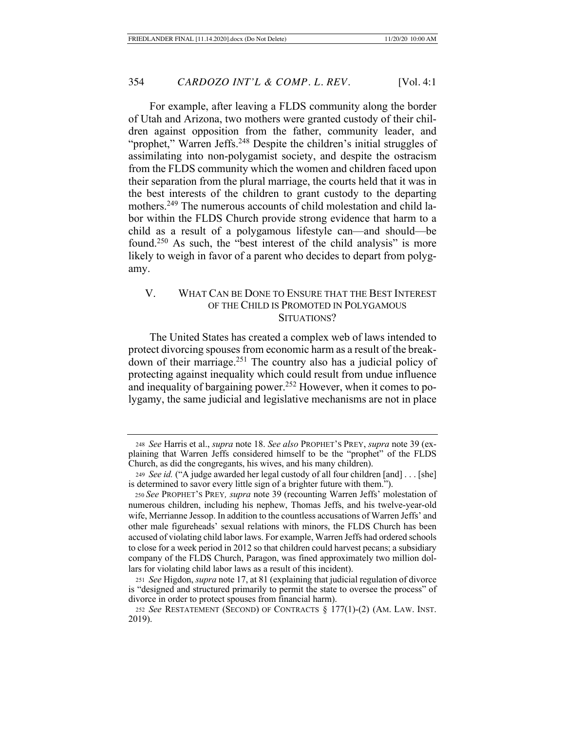For example, after leaving a FLDS community along the border of Utah and Arizona, two mothers were granted custody of their children against opposition from the father, community leader, and "prophet," Warren Jeffs.<sup>248</sup> Despite the children's initial struggles of assimilating into non-polygamist society, and despite the ostracism from the FLDS community which the women and children faced upon their separation from the plural marriage, the courts held that it was in the best interests of the children to grant custody to the departing mothers.249 The numerous accounts of child molestation and child labor within the FLDS Church provide strong evidence that harm to a child as a result of a polygamous lifestyle can—and should—be found.250 As such, the "best interest of the child analysis" is more likely to weigh in favor of a parent who decides to depart from polygamy.

# V. WHAT CAN BE DONE TO ENSURE THAT THE BEST INTEREST OF THE CHILD IS PROMOTED IN POLYGAMOUS SITUATIONS?

The United States has created a complex web of laws intended to protect divorcing spouses from economic harm as a result of the breakdown of their marriage.251 The country also has a judicial policy of protecting against inequality which could result from undue influence and inequality of bargaining power.<sup>252</sup> However, when it comes to polygamy, the same judicial and legislative mechanisms are not in place

<sup>248</sup> *See* Harris et al., *supra* note 18. *See also* PROPHET'S PREY, *supra* note 39 (explaining that Warren Jeffs considered himself to be the "prophet" of the FLDS Church, as did the congregants, his wives, and his many children).

<sup>249</sup> *See id.* ("A judge awarded her legal custody of all four children [and] . . . [she] is determined to savor every little sign of a brighter future with them.").

<sup>250</sup> *See* PROPHET'S PREY*, supra* note 39 (recounting Warren Jeffs' molestation of numerous children, including his nephew, Thomas Jeffs, and his twelve-year-old wife, Merrianne Jessop. In addition to the countless accusations of Warren Jeffs' and other male figureheads' sexual relations with minors, the FLDS Church has been accused of violating child labor laws. For example, Warren Jeffs had ordered schools to close for a week period in 2012 so that children could harvest pecans; a subsidiary company of the FLDS Church, Paragon, was fined approximately two million dollars for violating child labor laws as a result of this incident).

<sup>251</sup> *See* Higdon, *supra* note 17, at 81 (explaining that judicial regulation of divorce is "designed and structured primarily to permit the state to oversee the process" of divorce in order to protect spouses from financial harm).

<sup>252</sup> *See* RESTATEMENT (SECOND) OF CONTRACTS § 177(1)-(2) (AM. LAW. INST. 2019).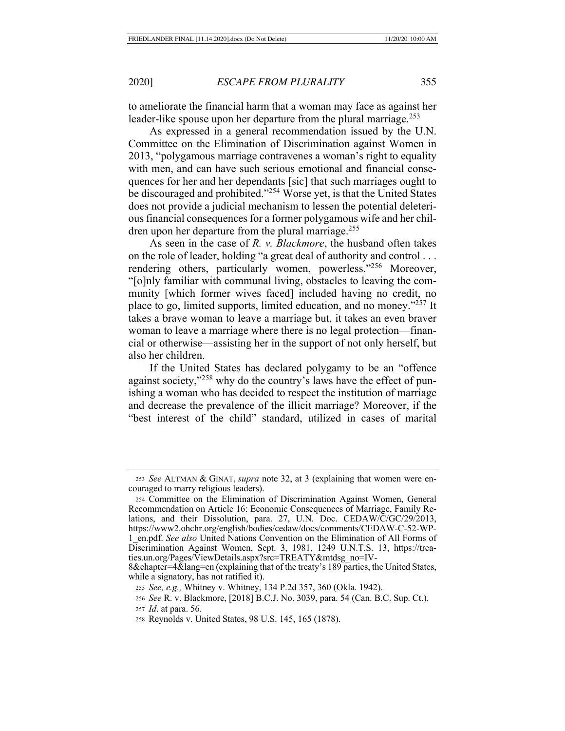to ameliorate the financial harm that a woman may face as against her leader-like spouse upon her departure from the plural marriage.<sup>253</sup>

As expressed in a general recommendation issued by the U.N. Committee on the Elimination of Discrimination against Women in 2013, "polygamous marriage contravenes a woman's right to equality with men, and can have such serious emotional and financial consequences for her and her dependants [sic] that such marriages ought to be discouraged and prohibited."<sup>254</sup> Worse yet, is that the United States does not provide a judicial mechanism to lessen the potential deleterious financial consequences for a former polygamous wife and her children upon her departure from the plural marriage.255

As seen in the case of *R. v. Blackmore*, the husband often takes on the role of leader, holding "a great deal of authority and control . . . rendering others, particularly women, powerless."256 Moreover, "[o]nly familiar with communal living, obstacles to leaving the community [which former wives faced] included having no credit, no place to go, limited supports, limited education, and no money."257 It takes a brave woman to leave a marriage but, it takes an even braver woman to leave a marriage where there is no legal protection—financial or otherwise—assisting her in the support of not only herself, but also her children.

If the United States has declared polygamy to be an "offence against society,"258 why do the country's laws have the effect of punishing a woman who has decided to respect the institution of marriage and decrease the prevalence of the illicit marriage? Moreover, if the "best interest of the child" standard, utilized in cases of marital

<sup>253</sup> *See* ALTMAN & GINAT, *supra* note 32, at 3 (explaining that women were encouraged to marry religious leaders).

<sup>254</sup> Committee on the Elimination of Discrimination Against Women, General Recommendation on Article 16: Economic Consequences of Marriage, Family Relations, and their Dissolution, para. 27, U.N. Doc. CEDAW/C/GC/29/2013, https://www2.ohchr.org/english/bodies/cedaw/docs/comments/CEDAW-C-52-WP-1\_en.pdf. *See also* United Nations Convention on the Elimination of All Forms of Discrimination Against Women, Sept. 3, 1981, 1249 U.N.T.S. 13, https://treaties.un.org/Pages/ViewDetails.aspx?src=TREATY&mtdsg\_no=IV-

<sup>8&</sup>amp;chapter=4&lang=en (explaining that of the treaty's 189 parties, the United States, while a signatory, has not ratified it).

<sup>255</sup> *See, e.g.,* Whitney v. Whitney, 134 P.2d 357, 360 (Okla. 1942).

<sup>256</sup> *See* R. v. Blackmore, [2018] B.C.J. No. 3039, para. 54 (Can. B.C. Sup. Ct.). <sup>257</sup> *Id*. at para. 56.

<sup>258</sup> Reynolds v. United States, 98 U.S. 145, 165 (1878).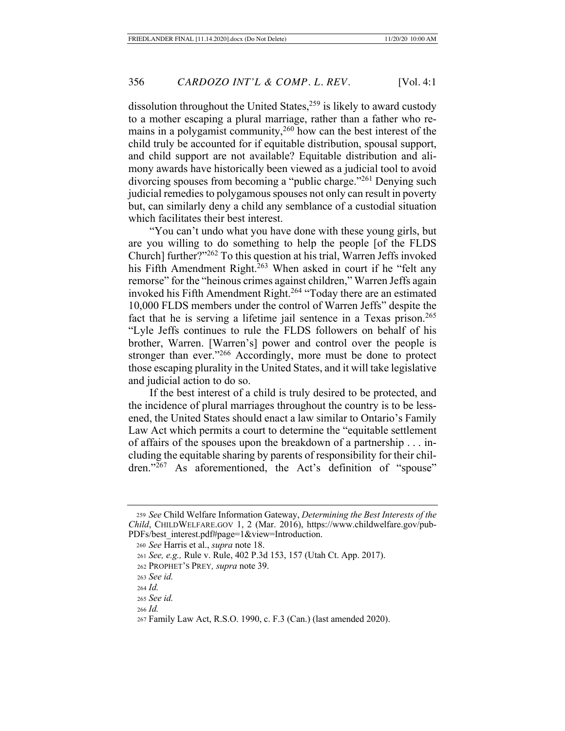dissolution throughout the United States,<sup>259</sup> is likely to award custody to a mother escaping a plural marriage, rather than a father who remains in a polygamist community,260 how can the best interest of the child truly be accounted for if equitable distribution, spousal support, and child support are not available? Equitable distribution and alimony awards have historically been viewed as a judicial tool to avoid divorcing spouses from becoming a "public charge."<sup>261</sup> Denying such judicial remedies to polygamous spouses not only can result in poverty but, can similarly deny a child any semblance of a custodial situation which facilitates their best interest.

"You can't undo what you have done with these young girls, but are you willing to do something to help the people [of the FLDS Church] further?"262 To this question at his trial, Warren Jeffs invoked his Fifth Amendment Right.<sup>263</sup> When asked in court if he "felt any remorse" for the "heinous crimes against children," Warren Jeffs again invoked his Fifth Amendment Right.264 "Today there are an estimated 10,000 FLDS members under the control of Warren Jeffs" despite the fact that he is serving a lifetime jail sentence in a Texas prison.<sup>265</sup> "Lyle Jeffs continues to rule the FLDS followers on behalf of his brother, Warren. [Warren's] power and control over the people is stronger than ever."266 Accordingly, more must be done to protect those escaping plurality in the United States, and it will take legislative and judicial action to do so.

If the best interest of a child is truly desired to be protected, and the incidence of plural marriages throughout the country is to be lessened, the United States should enact a law similar to Ontario's Family Law Act which permits a court to determine the "equitable settlement of affairs of the spouses upon the breakdown of a partnership . . . including the equitable sharing by parents of responsibility for their children."<sup>267</sup> As aforementioned, the Act's definition of "spouse"

<sup>259</sup> *See* Child Welfare Information Gateway, *Determining the Best Interests of the Child*, CHILDWELFARE.GOV 1, 2 (Mar. 2016), https://www.childwelfare.gov/pub-PDFs/best\_interest.pdf#page=1&view=Introduction.

<sup>260</sup> *See* Harris et al., *supra* note 18.

<sup>261</sup> *See, e.g.,* Rule v. Rule, 402 P.3d 153, 157 (Utah Ct. App. 2017).

 <sup>262</sup> PROPHET'S PREY*, supra* note 39.

 <sup>263</sup> *See id.*

 <sup>264</sup> *Id.*

 <sup>265</sup> *See id.*

 <sup>266</sup> *Id.*

<sup>267</sup> Family Law Act, R.S.O. 1990, c. F.3 (Can.) (last amended 2020).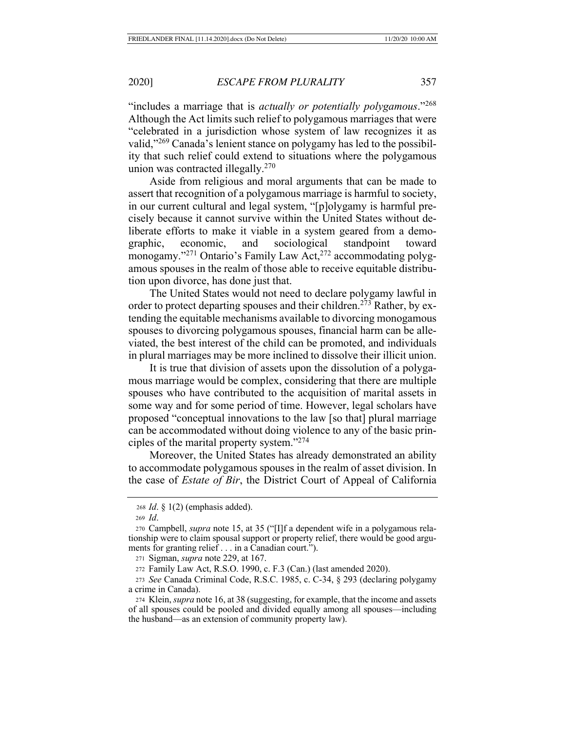"includes a marriage that is *actually or potentially polygamous*."268 Although the Act limits such relief to polygamous marriages that were "celebrated in a jurisdiction whose system of law recognizes it as valid,"269 Canada's lenient stance on polygamy has led to the possibility that such relief could extend to situations where the polygamous union was contracted illegally.<sup>270</sup>

Aside from religious and moral arguments that can be made to assert that recognition of a polygamous marriage is harmful to society, in our current cultural and legal system, "[p]olygamy is harmful precisely because it cannot survive within the United States without deliberate efforts to make it viable in a system geared from a demographic, economic, and sociological standpoint toward monogamy."<sup>271</sup> Ontario's Family Law Act,<sup>272</sup> accommodating polygamous spouses in the realm of those able to receive equitable distribution upon divorce, has done just that.

The United States would not need to declare polygamy lawful in order to protect departing spouses and their children.<sup>273</sup> Rather, by extending the equitable mechanisms available to divorcing monogamous spouses to divorcing polygamous spouses, financial harm can be alleviated, the best interest of the child can be promoted, and individuals in plural marriages may be more inclined to dissolve their illicit union.

It is true that division of assets upon the dissolution of a polygamous marriage would be complex, considering that there are multiple spouses who have contributed to the acquisition of marital assets in some way and for some period of time. However, legal scholars have proposed "conceptual innovations to the law [so that] plural marriage can be accommodated without doing violence to any of the basic principles of the marital property system."274

Moreover, the United States has already demonstrated an ability to accommodate polygamous spouses in the realm of asset division. In the case of *Estate of Bir*, the District Court of Appeal of California

<sup>271</sup> Sigman, *supra* note 229, at 167.

<sup>272</sup> Family Law Act, R.S.O. 1990, c. F.3 (Can.) (last amended 2020).

<sup>273</sup> *See* Canada Criminal Code, R.S.C. 1985, c. C-34, § 293 (declaring polygamy a crime in Canada).

<sup>274</sup> Klein, *supra* note 16, at 38 (suggesting, for example, that the income and assets of all spouses could be pooled and divided equally among all spouses—including the husband—as an extension of community property law).

<sup>268</sup> *Id*. § 1(2) (emphasis added).

<sup>269</sup> *Id*.

<sup>270</sup> Campbell, *supra* note 15, at 35 ("[I]f a dependent wife in a polygamous relationship were to claim spousal support or property relief, there would be good arguments for granting relief . . . in a Canadian court.").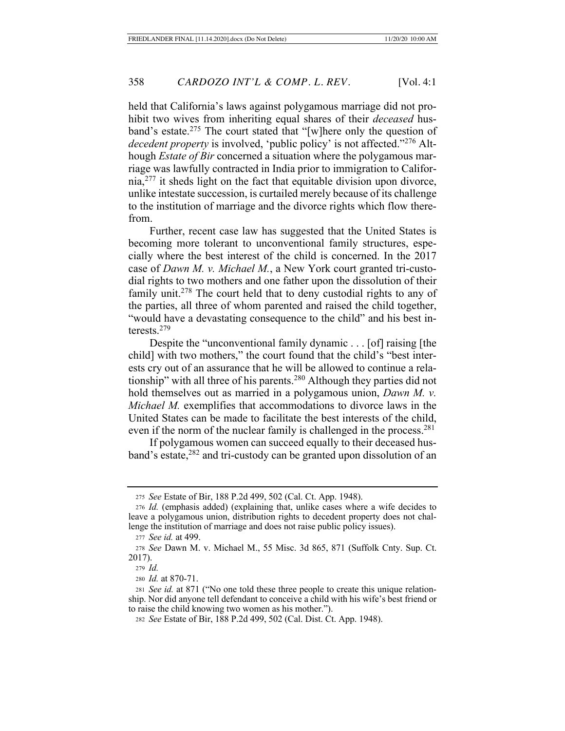held that California's laws against polygamous marriage did not prohibit two wives from inheriting equal shares of their *deceased* husband's estate.275 The court stated that "[w]here only the question of *decedent property* is involved, 'public policy' is not affected."<sup>276</sup> Although *Estate of Bir* concerned a situation where the polygamous marriage was lawfully contracted in India prior to immigration to Califor- $\text{nia}$ , $^{277}$  it sheds light on the fact that equitable division upon divorce, unlike intestate succession, is curtailed merely because of its challenge to the institution of marriage and the divorce rights which flow therefrom.

Further, recent case law has suggested that the United States is becoming more tolerant to unconventional family structures, especially where the best interest of the child is concerned. In the 2017 case of *Dawn M. v. Michael M.*, a New York court granted tri-custodial rights to two mothers and one father upon the dissolution of their family unit.<sup>278</sup> The court held that to deny custodial rights to any of the parties, all three of whom parented and raised the child together, "would have a devastating consequence to the child" and his best interests.279

Despite the "unconventional family dynamic . . . [of] raising [the child] with two mothers," the court found that the child's "best interests cry out of an assurance that he will be allowed to continue a relationship" with all three of his parents.<sup>280</sup> Although they parties did not hold themselves out as married in a polygamous union, *Dawn M. v. Michael M.* exemplifies that accommodations to divorce laws in the United States can be made to facilitate the best interests of the child, even if the norm of the nuclear family is challenged in the process.<sup>281</sup>

If polygamous women can succeed equally to their deceased husband's estate,282 and tri-custody can be granted upon dissolution of an

<sup>280</sup> *Id.* at 870-71.

<sup>275</sup> *See* Estate of Bir, 188 P.2d 499, 502 (Cal. Ct. App. 1948).

<sup>276</sup> *Id.* (emphasis added) (explaining that, unlike cases where a wife decides to leave a polygamous union, distribution rights to decedent property does not challenge the institution of marriage and does not raise public policy issues).

<sup>277</sup> *See id.* at 499.

<sup>278</sup> *See* Dawn M. v. Michael M., 55 Misc. 3d 865, 871 (Suffolk Cnty. Sup. Ct. 2017).

<sup>279</sup> *Id.*

<sup>281</sup> *See id.* at 871 ("No one told these three people to create this unique relationship. Nor did anyone tell defendant to conceive a child with his wife's best friend or to raise the child knowing two women as his mother.").

<sup>282</sup> *See* Estate of Bir, 188 P.2d 499, 502 (Cal. Dist. Ct. App. 1948).